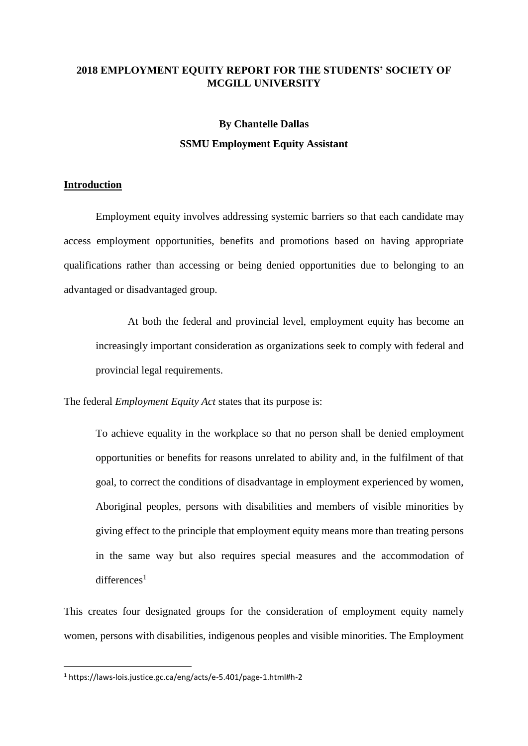# **2018 EMPLOYMENT EQUITY REPORT FOR THE STUDENTS' SOCIETY OF MCGILL UNIVERSITY**

# **By Chantelle Dallas SSMU Employment Equity Assistant**

#### **Introduction**

Employment equity involves addressing systemic barriers so that each candidate may access employment opportunities, benefits and promotions based on having appropriate qualifications rather than accessing or being denied opportunities due to belonging to an advantaged or disadvantaged group.

At both the federal and provincial level, employment equity has become an increasingly important consideration as organizations seek to comply with federal and provincial legal requirements.

The federal *Employment Equity Act* states that its purpose is:

To achieve equality in the workplace so that no person shall be denied employment opportunities or benefits for reasons unrelated to ability and, in the fulfilment of that goal, to correct the conditions of disadvantage in employment experienced by women, Aboriginal peoples, persons with disabilities and members of visible minorities by giving effect to the principle that employment equity means more than treating persons in the same way but also requires special measures and the accommodation of  $differential$ 

This creates four designated groups for the consideration of employment equity namely women, persons with disabilities, indigenous peoples and visible minorities. The Employment

<sup>1</sup> https://laws-lois.justice.gc.ca/eng/acts/e-5.401/page-1.html#h-2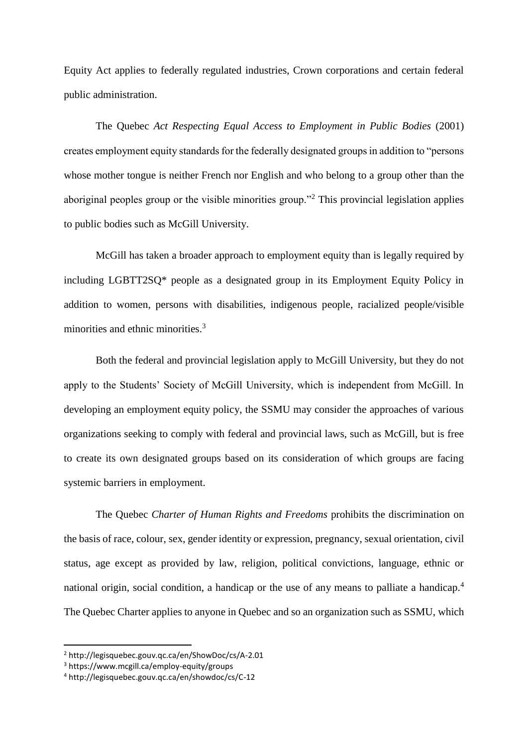Equity Act applies to federally regulated industries, Crown corporations and certain federal public administration.

The Quebec *Act Respecting Equal Access to Employment in Public Bodies* (2001) creates employment equity standards for the federally designated groups in addition to "persons whose mother tongue is neither French nor English and who belong to a group other than the aboriginal peoples group or the visible minorities group."<sup>2</sup> This provincial legislation applies to public bodies such as McGill University.

McGill has taken a broader approach to employment equity than is legally required by including LGBTT2SQ\* people as a designated group in its Employment Equity Policy in addition to women, persons with disabilities, indigenous people, racialized people/visible minorities and ethnic minorities.<sup>3</sup>

Both the federal and provincial legislation apply to McGill University, but they do not apply to the Students' Society of McGill University, which is independent from McGill. In developing an employment equity policy, the SSMU may consider the approaches of various organizations seeking to comply with federal and provincial laws, such as McGill, but is free to create its own designated groups based on its consideration of which groups are facing systemic barriers in employment.

The Quebec *Charter of Human Rights and Freedoms* prohibits the discrimination on the basis of race, colour, sex, gender identity or expression, pregnancy, sexual orientation, civil status, age except as provided by law, religion, political convictions, language, ethnic or national origin, social condition, a handicap or the use of any means to palliate a handicap.<sup>4</sup> The Quebec Charter applies to anyone in Quebec and so an organization such as SSMU, which

<sup>2</sup> http://legisquebec.gouv.qc.ca/en/ShowDoc/cs/A-2.01

<sup>3</sup> https://www.mcgill.ca/employ-equity/groups

<sup>4</sup> http://legisquebec.gouv.qc.ca/en/showdoc/cs/C-12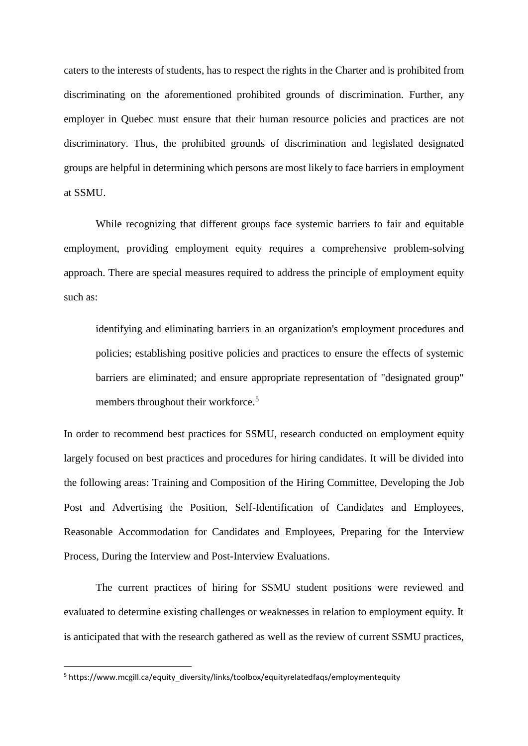caters to the interests of students, has to respect the rights in the Charter and is prohibited from discriminating on the aforementioned prohibited grounds of discrimination. Further, any employer in Quebec must ensure that their human resource policies and practices are not discriminatory. Thus, the prohibited grounds of discrimination and legislated designated groups are helpful in determining which persons are most likely to face barriers in employment at SSMU.

While recognizing that different groups face systemic barriers to fair and equitable employment, providing employment equity requires a comprehensive problem-solving approach. There are special measures required to address the principle of employment equity such as:

identifying and eliminating barriers in an organization's employment procedures and policies; establishing positive policies and practices to ensure the effects of systemic barriers are eliminated; and ensure appropriate representation of "designated group" members throughout their workforce.<sup>5</sup>

In order to recommend best practices for SSMU, research conducted on employment equity largely focused on best practices and procedures for hiring candidates. It will be divided into the following areas: Training and Composition of the Hiring Committee, Developing the Job Post and Advertising the Position, Self-Identification of Candidates and Employees, Reasonable Accommodation for Candidates and Employees, Preparing for the Interview Process, During the Interview and Post-Interview Evaluations.

The current practices of hiring for SSMU student positions were reviewed and evaluated to determine existing challenges or weaknesses in relation to employment equity. It is anticipated that with the research gathered as well as the review of current SSMU practices,

<sup>5</sup> https://www.mcgill.ca/equity\_diversity/links/toolbox/equityrelatedfaqs/employmentequity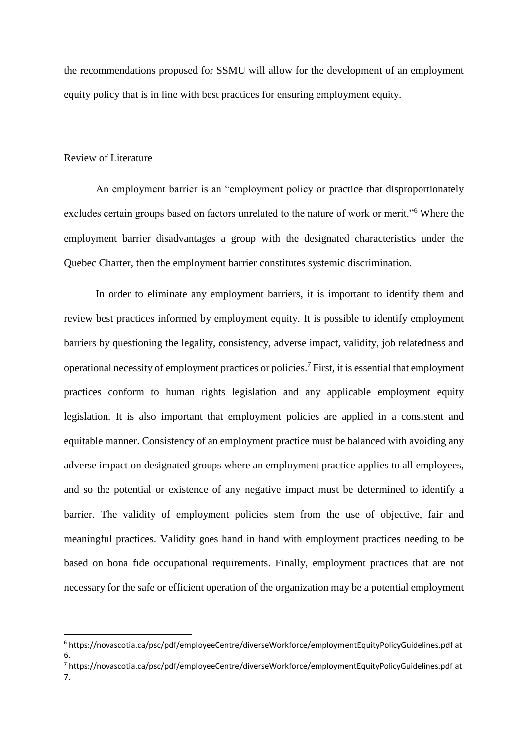the recommendations proposed for SSMU will allow for the development of an employment equity policy that is in line with best practices for ensuring employment equity.

#### Review of Literature

 $\overline{a}$ 

An employment barrier is an "employment policy or practice that disproportionately excludes certain groups based on factors unrelated to the nature of work or merit."<sup>6</sup> Where the employment barrier disadvantages a group with the designated characteristics under the Quebec Charter, then the employment barrier constitutes systemic discrimination.

In order to eliminate any employment barriers, it is important to identify them and review best practices informed by employment equity. It is possible to identify employment barriers by questioning the legality, consistency, adverse impact, validity, job relatedness and operational necessity of employment practices or policies.<sup>7</sup> First, it is essential that employment practices conform to human rights legislation and any applicable employment equity legislation. It is also important that employment policies are applied in a consistent and equitable manner. Consistency of an employment practice must be balanced with avoiding any adverse impact on designated groups where an employment practice applies to all employees, and so the potential or existence of any negative impact must be determined to identify a barrier. The validity of employment policies stem from the use of objective, fair and meaningful practices. Validity goes hand in hand with employment practices needing to be based on bona fide occupational requirements. Finally, employment practices that are not necessary for the safe or efficient operation of the organization may be a potential employment

<sup>6</sup> https://novascotia.ca/psc/pdf/employeeCentre/diverseWorkforce/employmentEquityPolicyGuidelines.pdf at 6.

<sup>7</sup> https://novascotia.ca/psc/pdf/employeeCentre/diverseWorkforce/employmentEquityPolicyGuidelines.pdf at 7.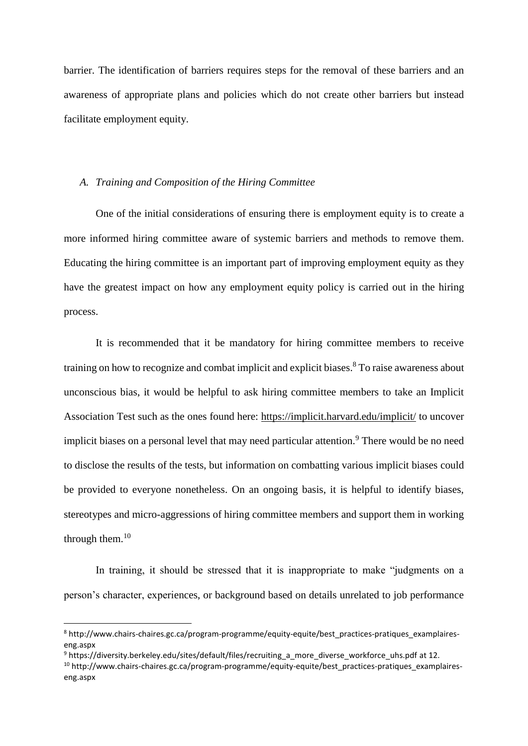barrier. The identification of barriers requires steps for the removal of these barriers and an awareness of appropriate plans and policies which do not create other barriers but instead facilitate employment equity.

#### *A. Training and Composition of the Hiring Committee*

One of the initial considerations of ensuring there is employment equity is to create a more informed hiring committee aware of systemic barriers and methods to remove them. Educating the hiring committee is an important part of improving employment equity as they have the greatest impact on how any employment equity policy is carried out in the hiring process.

It is recommended that it be mandatory for hiring committee members to receive training on how to recognize and combat implicit and explicit biases. <sup>8</sup> To raise awareness about unconscious bias, it would be helpful to ask hiring committee members to take an Implicit Association Test such as the ones found here: <https://implicit.harvard.edu/implicit/> to uncover implicit biases on a personal level that may need particular attention.<sup>9</sup> There would be no need to disclose the results of the tests, but information on combatting various implicit biases could be provided to everyone nonetheless. On an ongoing basis, it is helpful to identify biases, stereotypes and micro-aggressions of hiring committee members and support them in working through them. $10$ 

In training, it should be stressed that it is inappropriate to make "judgments on a person's character, experiences, or background based on details unrelated to job performance

<sup>8</sup> [http://www.chairs-chaires.gc.ca/program-programme/equity-equite/best\\_practices-pratiques\\_examplaires](http://www.chairs-chaires.gc.ca/program-programme/equity-equite/best_practices-pratiques_examplaires-eng.aspx)[eng.aspx](http://www.chairs-chaires.gc.ca/program-programme/equity-equite/best_practices-pratiques_examplaires-eng.aspx)

<sup>&</sup>lt;sup>9</sup> [https://diversity.berkeley.edu/sites/default/files/recruiting\\_a\\_more\\_diverse\\_workforce\\_uhs.pdf](https://diversity.berkeley.edu/sites/default/files/recruiting_a_more_diverse_workforce_uhs.pdf) at 12.

<sup>&</sup>lt;sup>10</sup> [http://www.chairs-chaires.gc.ca/program-programme/equity-equite/best\\_practices-pratiques\\_examplaires](http://www.chairs-chaires.gc.ca/program-programme/equity-equite/best_practices-pratiques_examplaires-eng.aspx)[eng.aspx](http://www.chairs-chaires.gc.ca/program-programme/equity-equite/best_practices-pratiques_examplaires-eng.aspx)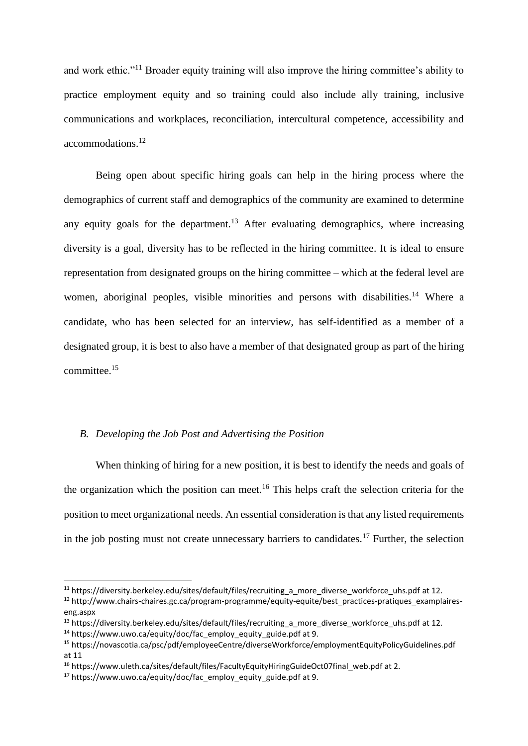and work ethic."<sup>11</sup> Broader equity training will also improve the hiring committee's ability to practice employment equity and so training could also include ally training, inclusive communications and workplaces, reconciliation, intercultural competence, accessibility and accommodations. 12

Being open about specific hiring goals can help in the hiring process where the demographics of current staff and demographics of the community are examined to determine any equity goals for the department.<sup>13</sup> After evaluating demographics, where increasing diversity is a goal, diversity has to be reflected in the hiring committee. It is ideal to ensure representation from designated groups on the hiring committee – which at the federal level are women, aboriginal peoples, visible minorities and persons with disabilities.<sup>14</sup> Where a candidate, who has been selected for an interview, has self-identified as a member of a designated group, it is best to also have a member of that designated group as part of the hiring committee.<sup>15</sup>

# *B. Developing the Job Post and Advertising the Position*

When thinking of hiring for a new position, it is best to identify the needs and goals of the organization which the position can meet.<sup>16</sup> This helps craft the selection criteria for the position to meet organizational needs. An essential consideration is that any listed requirements in the job posting must not create unnecessary barriers to candidates.<sup>17</sup> Further, the selection

 $\overline{a}$ 

<sup>&</sup>lt;sup>11</sup> https://diversity.berkeley.edu/sites/default/files/recruiting a more diverse workforce uhs.pdf at 12.

<sup>&</sup>lt;sup>12</sup> [http://www.chairs-chaires.gc.ca/program-programme/equity-equite/best\\_practices-pratiques\\_examplaires](http://www.chairs-chaires.gc.ca/program-programme/equity-equite/best_practices-pratiques_examplaires-eng.aspx)[eng.aspx](http://www.chairs-chaires.gc.ca/program-programme/equity-equite/best_practices-pratiques_examplaires-eng.aspx)

<sup>&</sup>lt;sup>13</sup> [https://diversity.berkeley.edu/sites/default/files/recruiting\\_a\\_more\\_diverse\\_workforce\\_uhs.pdf](https://diversity.berkeley.edu/sites/default/files/recruiting_a_more_diverse_workforce_uhs.pdf) at 12.

 $14$  [https://www.uwo.ca/equity/doc/fac\\_employ\\_equity\\_guide.pdf](https://www.uwo.ca/equity/doc/fac_employ_equity_guide.pdf) at 9.

<sup>15</sup> https://novascotia.ca/psc/pdf/employeeCentre/diverseWorkforce/employmentEquityPolicyGuidelines.pdf at 11

<sup>&</sup>lt;sup>16</sup> https://www.uleth.ca/sites/default/files/FacultyEquityHiringGuideOct07final\_web.pdf at 2.

<sup>&</sup>lt;sup>17</sup> [https://www.uwo.ca/equity/doc/fac\\_employ\\_equity\\_guide.pdf](https://www.uwo.ca/equity/doc/fac_employ_equity_guide.pdf) at 9.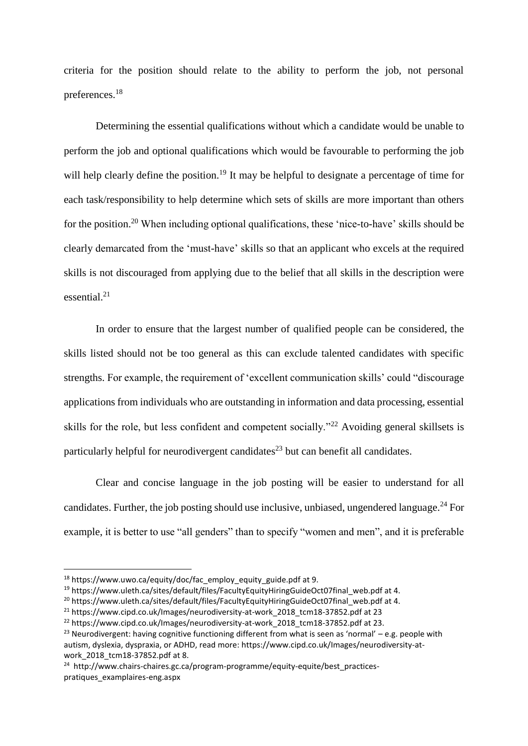criteria for the position should relate to the ability to perform the job, not personal preferences.<sup>18</sup>

Determining the essential qualifications without which a candidate would be unable to perform the job and optional qualifications which would be favourable to performing the job will help clearly define the position.<sup>19</sup> It may be helpful to designate a percentage of time for each task/responsibility to help determine which sets of skills are more important than others for the position.<sup>20</sup> When including optional qualifications, these 'nice-to-have' skills should be clearly demarcated from the 'must-have' skills so that an applicant who excels at the required skills is not discouraged from applying due to the belief that all skills in the description were essential. 21

In order to ensure that the largest number of qualified people can be considered, the skills listed should not be too general as this can exclude talented candidates with specific strengths. For example, the requirement of 'excellent communication skills' could "discourage applications from individuals who are outstanding in information and data processing, essential skills for the role, but less confident and competent socially."<sup>22</sup> Avoiding general skillsets is particularly helpful for neurodivergent candidates<sup>23</sup> but can benefit all candidates.

Clear and concise language in the job posting will be easier to understand for all candidates. Further, the job posting should use inclusive, unbiased, ungendered language.<sup>24</sup> For example, it is better to use "all genders" than to specify "women and men", and it is preferable

1

 $18$  [https://www.uwo.ca/equity/doc/fac\\_employ\\_equity\\_guide.pdf](https://www.uwo.ca/equity/doc/fac_employ_equity_guide.pdf) at 9.

<sup>&</sup>lt;sup>19</sup> https://www.uleth.ca/sites/default/files/FacultyEquityHiringGuideOct07final\_web.pdf at 4.

<sup>&</sup>lt;sup>20</sup> https://www.uleth.ca/sites/default/files/FacultyEquityHiringGuideOct07final\_web.pdf at 4.

<sup>&</sup>lt;sup>21</sup> https://www.cipd.co.uk/Images/neurodiversity-at-work 2018 tcm18-37852.pdf at 23

<sup>&</sup>lt;sup>22</sup> https://www.cipd.co.uk/Images/neurodiversity-at-work 2018 tcm18-37852.pdf at 23.

<sup>&</sup>lt;sup>23</sup> Neurodivergent: having cognitive functioning different from what is seen as 'normal' – e.g. people with autism, dyslexia, dyspraxia, or ADHD, read more[: https://www.cipd.co.uk/Images/neurodiversity-at](https://www.cipd.co.uk/Images/neurodiversity-at-work_2018_tcm18-37852.pdf)[work\\_2018\\_tcm18-37852.pdf](https://www.cipd.co.uk/Images/neurodiversity-at-work_2018_tcm18-37852.pdf) at 8.

<sup>&</sup>lt;sup>24</sup> [http://www.chairs-chaires.gc.ca/program-programme/equity-equite/best\\_practices](http://www.chairs-chaires.gc.ca/program-programme/equity-equite/best_practices-pratiques_examplaires-eng.aspx)[pratiques\\_examplaires-eng.aspx](http://www.chairs-chaires.gc.ca/program-programme/equity-equite/best_practices-pratiques_examplaires-eng.aspx)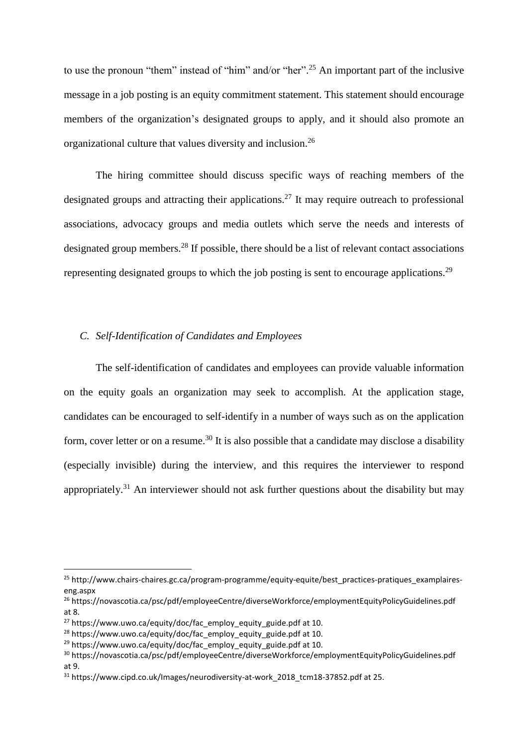to use the pronoun "them" instead of "him" and/or "her".<sup>25</sup> An important part of the inclusive message in a job posting is an equity commitment statement. This statement should encourage members of the organization's designated groups to apply, and it should also promote an organizational culture that values diversity and inclusion.<sup>26</sup>

The hiring committee should discuss specific ways of reaching members of the designated groups and attracting their applications.<sup>27</sup> It may require outreach to professional associations, advocacy groups and media outlets which serve the needs and interests of designated group members.<sup>28</sup> If possible, there should be a list of relevant contact associations representing designated groups to which the job posting is sent to encourage applications.<sup>29</sup>

# *C. Self-Identification of Candidates and Employees*

The self-identification of candidates and employees can provide valuable information on the equity goals an organization may seek to accomplish. At the application stage, candidates can be encouraged to self-identify in a number of ways such as on the application form, cover letter or on a resume.<sup>30</sup> It is also possible that a candidate may disclose a disability (especially invisible) during the interview, and this requires the interviewer to respond appropriately.<sup>31</sup> An interviewer should not ask further questions about the disability but may

1

<sup>&</sup>lt;sup>25</sup> [http://www.chairs-chaires.gc.ca/program-programme/equity-equite/best\\_practices-pratiques\\_examplaires](http://www.chairs-chaires.gc.ca/program-programme/equity-equite/best_practices-pratiques_examplaires-eng.aspx)[eng.aspx](http://www.chairs-chaires.gc.ca/program-programme/equity-equite/best_practices-pratiques_examplaires-eng.aspx)

<sup>26</sup> https://novascotia.ca/psc/pdf/employeeCentre/diverseWorkforce/employmentEquityPolicyGuidelines.pdf at 8.

<sup>&</sup>lt;sup>27</sup> [https://www.uwo.ca/equity/doc/fac\\_employ\\_equity\\_guide.pdf](https://www.uwo.ca/equity/doc/fac_employ_equity_guide.pdf) at 10.

 $28$  [https://www.uwo.ca/equity/doc/fac\\_employ\\_equity\\_guide.pdf](https://www.uwo.ca/equity/doc/fac_employ_equity_guide.pdf) at 10.

 $29$  [https://www.uwo.ca/equity/doc/fac\\_employ\\_equity\\_guide.pdf](https://www.uwo.ca/equity/doc/fac_employ_equity_guide.pdf) at 10.

<sup>30</sup> https://novascotia.ca/psc/pdf/employeeCentre/diverseWorkforce/employmentEquityPolicyGuidelines.pdf at 9.

<sup>&</sup>lt;sup>31</sup> [https://www.cipd.co.uk/Images/neurodiversity-at-work\\_2018\\_tcm18-37852.pdf](https://www.cipd.co.uk/Images/neurodiversity-at-work_2018_tcm18-37852.pdf) at 25.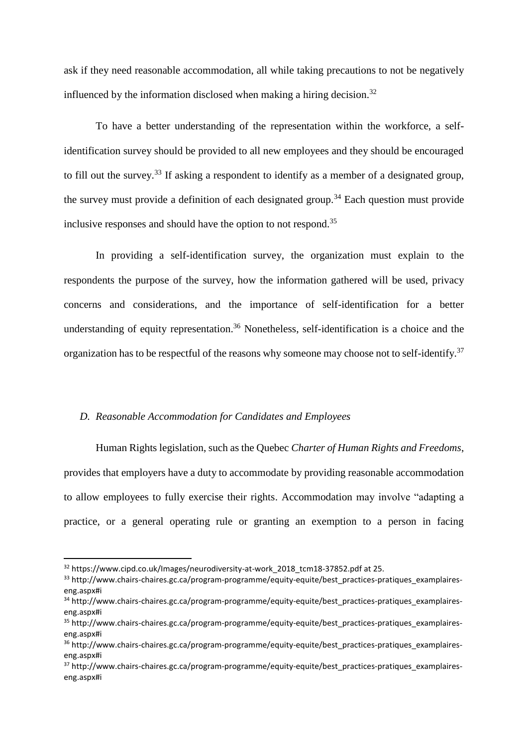ask if they need reasonable accommodation, all while taking precautions to not be negatively influenced by the information disclosed when making a hiring decision.<sup>32</sup>

To have a better understanding of the representation within the workforce, a selfidentification survey should be provided to all new employees and they should be encouraged to fill out the survey.<sup>33</sup> If asking a respondent to identify as a member of a designated group, the survey must provide a definition of each designated group.<sup>34</sup> Each question must provide inclusive responses and should have the option to not respond.<sup>35</sup>

In providing a self-identification survey, the organization must explain to the respondents the purpose of the survey, how the information gathered will be used, privacy concerns and considerations, and the importance of self-identification for a better understanding of equity representation.<sup>36</sup> Nonetheless, self-identification is a choice and the organization has to be respectful of the reasons why someone may choose not to self-identify.<sup>37</sup>

# *D. Reasonable Accommodation for Candidates and Employees*

Human Rights legislation, such as the Quebec *Charter of Human Rights and Freedoms*, provides that employers have a duty to accommodate by providing reasonable accommodation to allow employees to fully exercise their rights. Accommodation may involve "adapting a practice, or a general operating rule or granting an exemption to a person in facing

 $\overline{a}$ 

<sup>&</sup>lt;sup>32</sup> [https://www.cipd.co.uk/Images/neurodiversity-at-work\\_2018\\_tcm18-37852.pdf](https://www.cipd.co.uk/Images/neurodiversity-at-work_2018_tcm18-37852.pdf) at 25.

<sup>33</sup> [http://www.chairs-chaires.gc.ca/program-programme/equity-equite/best\\_practices-pratiques\\_examplaires](http://www.chairs-chaires.gc.ca/program-programme/equity-equite/best_practices-pratiques_examplaires-eng.aspx#i)[eng.aspx#i](http://www.chairs-chaires.gc.ca/program-programme/equity-equite/best_practices-pratiques_examplaires-eng.aspx#i)

<sup>34</sup> [http://www.chairs-chaires.gc.ca/program-programme/equity-equite/best\\_practices-pratiques\\_examplaires](http://www.chairs-chaires.gc.ca/program-programme/equity-equite/best_practices-pratiques_examplaires-eng.aspx#i)[eng.aspx#i](http://www.chairs-chaires.gc.ca/program-programme/equity-equite/best_practices-pratiques_examplaires-eng.aspx#i)

<sup>&</sup>lt;sup>35</sup> [http://www.chairs-chaires.gc.ca/program-programme/equity-equite/best\\_practices-pratiques\\_examplaires](http://www.chairs-chaires.gc.ca/program-programme/equity-equite/best_practices-pratiques_examplaires-eng.aspx#i)[eng.aspx#i](http://www.chairs-chaires.gc.ca/program-programme/equity-equite/best_practices-pratiques_examplaires-eng.aspx#i)

<sup>36</sup> [http://www.chairs-chaires.gc.ca/program-programme/equity-equite/best\\_practices-pratiques\\_examplaires](http://www.chairs-chaires.gc.ca/program-programme/equity-equite/best_practices-pratiques_examplaires-eng.aspx#i)[eng.aspx#i](http://www.chairs-chaires.gc.ca/program-programme/equity-equite/best_practices-pratiques_examplaires-eng.aspx#i)

<sup>&</sup>lt;sup>37</sup> [http://www.chairs-chaires.gc.ca/program-programme/equity-equite/best\\_practices-pratiques\\_examplaires](http://www.chairs-chaires.gc.ca/program-programme/equity-equite/best_practices-pratiques_examplaires-eng.aspx#i)[eng.aspx#i](http://www.chairs-chaires.gc.ca/program-programme/equity-equite/best_practices-pratiques_examplaires-eng.aspx#i)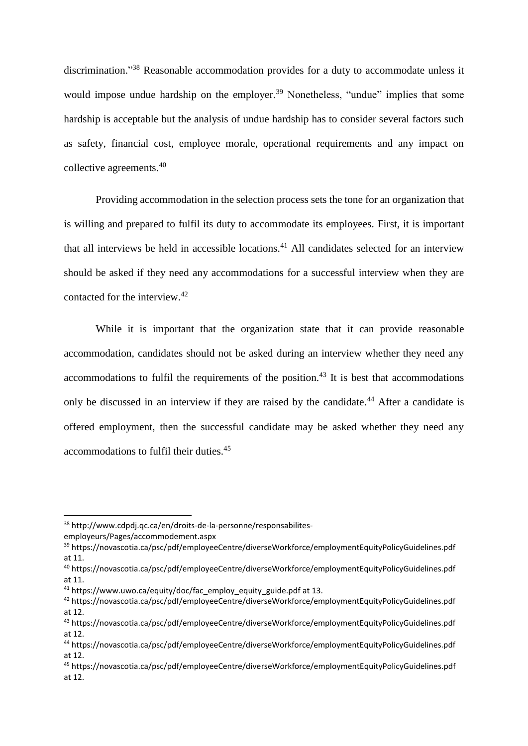discrimination." <sup>38</sup> Reasonable accommodation provides for a duty to accommodate unless it would impose undue hardship on the employer.<sup>39</sup> Nonetheless, "undue" implies that some hardship is acceptable but the analysis of undue hardship has to consider several factors such as safety, financial cost, employee morale, operational requirements and any impact on collective agreements. 40

Providing accommodation in the selection process sets the tone for an organization that is willing and prepared to fulfil its duty to accommodate its employees. First, it is important that all interviews be held in accessible locations.<sup>41</sup> All candidates selected for an interview should be asked if they need any accommodations for a successful interview when they are contacted for the interview.<sup>42</sup>

While it is important that the organization state that it can provide reasonable accommodation, candidates should not be asked during an interview whether they need any accommodations to fulfil the requirements of the position.<sup>43</sup> It is best that accommodations only be discussed in an interview if they are raised by the candidate.<sup>44</sup> After a candidate is offered employment, then the successful candidate may be asked whether they need any accommodations to fulfil their duties.<sup>45</sup>

1

<sup>38</sup> [http://www.cdpdj.qc.ca/en/droits-de-la-personne/responsabilites](http://www.cdpdj.qc.ca/en/droits-de-la-personne/responsabilites-employeurs/Pages/accommodement.aspx)[employeurs/Pages/accommodement.aspx](http://www.cdpdj.qc.ca/en/droits-de-la-personne/responsabilites-employeurs/Pages/accommodement.aspx)

<sup>39</sup> https://novascotia.ca/psc/pdf/employeeCentre/diverseWorkforce/employmentEquityPolicyGuidelines.pdf at 11.

<sup>40</sup> https://novascotia.ca/psc/pdf/employeeCentre/diverseWorkforce/employmentEquityPolicyGuidelines.pdf at 11.

<sup>&</sup>lt;sup>41</sup> [https://www.uwo.ca/equity/doc/fac\\_employ\\_equity\\_guide.pdf](https://www.uwo.ca/equity/doc/fac_employ_equity_guide.pdf) at 13.

<sup>42</sup> https://novascotia.ca/psc/pdf/employeeCentre/diverseWorkforce/employmentEquityPolicyGuidelines.pdf at 12.

<sup>43</sup> https://novascotia.ca/psc/pdf/employeeCentre/diverseWorkforce/employmentEquityPolicyGuidelines.pdf at 12.

<sup>44</sup> https://novascotia.ca/psc/pdf/employeeCentre/diverseWorkforce/employmentEquityPolicyGuidelines.pdf at 12.

<sup>45</sup> https://novascotia.ca/psc/pdf/employeeCentre/diverseWorkforce/employmentEquityPolicyGuidelines.pdf at 12.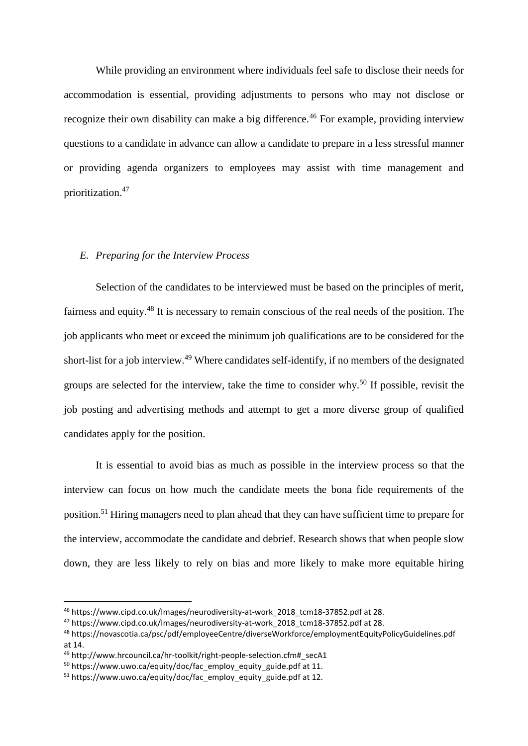While providing an environment where individuals feel safe to disclose their needs for accommodation is essential, providing adjustments to persons who may not disclose or recognize their own disability can make a big difference.<sup>46</sup> For example, providing interview questions to a candidate in advance can allow a candidate to prepare in a less stressful manner or providing agenda organizers to employees may assist with time management and prioritization.<sup>47</sup>

#### *E. Preparing for the Interview Process*

Selection of the candidates to be interviewed must be based on the principles of merit, fairness and equity.<sup>48</sup> It is necessary to remain conscious of the real needs of the position. The job applicants who meet or exceed the minimum job qualifications are to be considered for the short-list for a job interview.<sup>49</sup> Where candidates self-identify, if no members of the designated groups are selected for the interview, take the time to consider why.<sup>50</sup> If possible, revisit the job posting and advertising methods and attempt to get a more diverse group of qualified candidates apply for the position.

It is essential to avoid bias as much as possible in the interview process so that the interview can focus on how much the candidate meets the bona fide requirements of the position.<sup>51</sup> Hiring managers need to plan ahead that they can have sufficient time to prepare for the interview, accommodate the candidate and debrief. Research shows that when people slow down, they are less likely to rely on bias and more likely to make more equitable hiring

<sup>46</sup> [https://www.cipd.co.uk/Images/neurodiversity-at-work\\_2018\\_tcm18-37852.pdf](https://www.cipd.co.uk/Images/neurodiversity-at-work_2018_tcm18-37852.pdf) at 28.

<sup>&</sup>lt;sup>47</sup> https://www.cipd.co.uk/Images/neurodiversity-at-work 2018 tcm18-37852.pdf at 28.

<sup>48</sup> https://novascotia.ca/psc/pdf/employeeCentre/diverseWorkforce/employmentEquityPolicyGuidelines.pdf at 14.

<sup>49</sup> [http://www.hrcouncil.ca/hr-toolkit/right-people-selection.cfm#\\_secA1](http://www.hrcouncil.ca/hr-toolkit/right-people-selection.cfm#_secA1)

 $50$  [https://www.uwo.ca/equity/doc/fac\\_employ\\_equity\\_guide.pdf](https://www.uwo.ca/equity/doc/fac_employ_equity_guide.pdf) at 11.

 $51$  [https://www.uwo.ca/equity/doc/fac\\_employ\\_equity\\_guide.pdf](https://www.uwo.ca/equity/doc/fac_employ_equity_guide.pdf) at 12.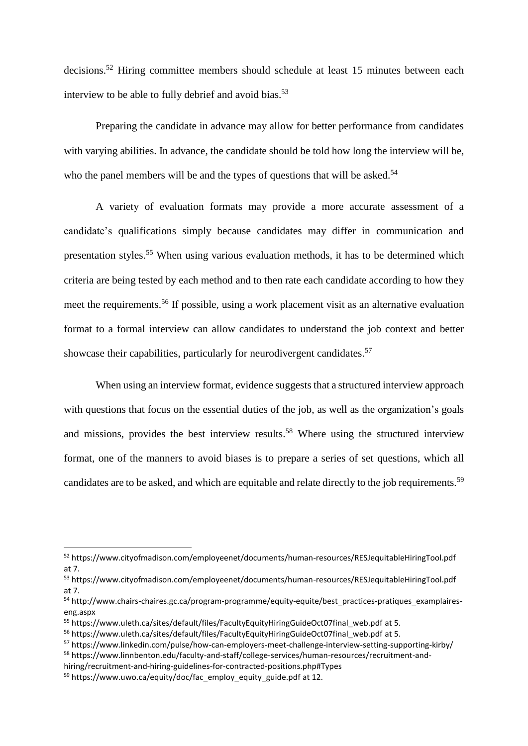decisions. <sup>52</sup> Hiring committee members should schedule at least 15 minutes between each interview to be able to fully debrief and avoid bias.<sup>53</sup>

Preparing the candidate in advance may allow for better performance from candidates with varying abilities. In advance, the candidate should be told how long the interview will be, who the panel members will be and the types of questions that will be asked.<sup>54</sup>

A variety of evaluation formats may provide a more accurate assessment of a candidate's qualifications simply because candidates may differ in communication and presentation styles.<sup>55</sup> When using various evaluation methods, it has to be determined which criteria are being tested by each method and to then rate each candidate according to how they meet the requirements.<sup>56</sup> If possible, using a work placement visit as an alternative evaluation format to a formal interview can allow candidates to understand the job context and better showcase their capabilities, particularly for neurodivergent candidates.<sup>57</sup>

When using an interview format, evidence suggests that a structured interview approach with questions that focus on the essential duties of the job, as well as the organization's goals and missions, provides the best interview results.<sup>58</sup> Where using the structured interview format, one of the manners to avoid biases is to prepare a series of set questions, which all candidates are to be asked, and which are equitable and relate directly to the job requirements.<sup>59</sup>

<sup>52</sup> <https://www.cityofmadison.com/employeenet/documents/human-resources/RESJequitableHiringTool.pdf> at 7.

<sup>53</sup> <https://www.cityofmadison.com/employeenet/documents/human-resources/RESJequitableHiringTool.pdf> at 7.

<sup>54</sup> [http://www.chairs-chaires.gc.ca/program-programme/equity-equite/best\\_practices-pratiques\\_examplaires](http://www.chairs-chaires.gc.ca/program-programme/equity-equite/best_practices-pratiques_examplaires-eng.aspx)[eng.aspx](http://www.chairs-chaires.gc.ca/program-programme/equity-equite/best_practices-pratiques_examplaires-eng.aspx)

<sup>55</sup> [https://www.uleth.ca/sites/default/files/FacultyEquityHiringGuideOct07final\\_web.pdf](https://www.uleth.ca/sites/default/files/FacultyEquityHiringGuideOct07final_web.pdf) at 5.

<sup>&</sup>lt;sup>56</sup> [https://www.uleth.ca/sites/default/files/FacultyEquityHiringGuideOct07final\\_web.pdf](https://www.uleth.ca/sites/default/files/FacultyEquityHiringGuideOct07final_web.pdf) at 5.

<sup>57</sup> <https://www.linkedin.com/pulse/how-can-employers-meet-challenge-interview-setting-supporting-kirby/> <sup>58</sup> [https://www.linnbenton.edu/faculty-and-staff/college-services/human-resources/recruitment-and-](https://www.linnbenton.edu/faculty-and-staff/college-services/human-resources/recruitment-and-hiring/recruitment-and-hiring-guidelines-for-contracted-positions.php#Types)

[hiring/recruitment-and-hiring-guidelines-for-contracted-positions.php#Types](https://www.linnbenton.edu/faculty-and-staff/college-services/human-resources/recruitment-and-hiring/recruitment-and-hiring-guidelines-for-contracted-positions.php#Types)

 $59$  [https://www.uwo.ca/equity/doc/fac\\_employ\\_equity\\_guide.pdf](https://www.uwo.ca/equity/doc/fac_employ_equity_guide.pdf) at 12.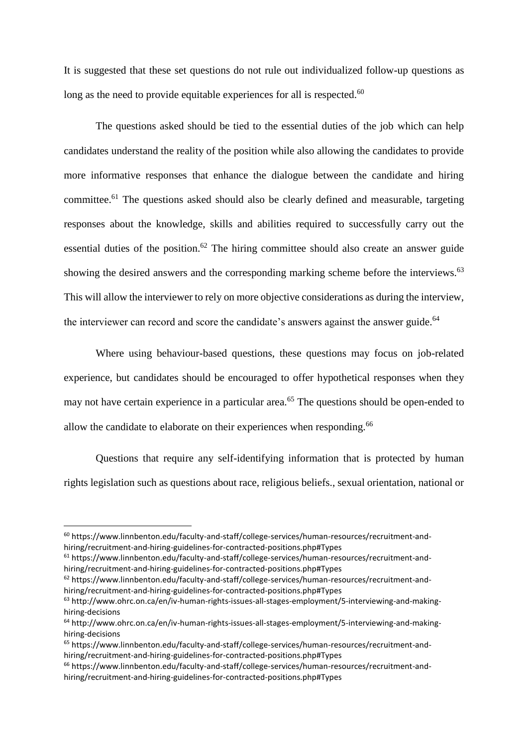It is suggested that these set questions do not rule out individualized follow-up questions as long as the need to provide equitable experiences for all is respected. $60$ 

The questions asked should be tied to the essential duties of the job which can help candidates understand the reality of the position while also allowing the candidates to provide more informative responses that enhance the dialogue between the candidate and hiring committee.<sup>61</sup> The questions asked should also be clearly defined and measurable, targeting responses about the knowledge, skills and abilities required to successfully carry out the essential duties of the position.<sup>62</sup> The hiring committee should also create an answer guide showing the desired answers and the corresponding marking scheme before the interviews.<sup>63</sup> This will allow the interviewer to rely on more objective considerations as during the interview, the interviewer can record and score the candidate's answers against the answer guide.<sup>64</sup>

Where using behaviour-based questions, these questions may focus on job-related experience, but candidates should be encouraged to offer hypothetical responses when they may not have certain experience in a particular area.<sup>65</sup> The questions should be open-ended to allow the candidate to elaborate on their experiences when responding.<sup>66</sup>

Questions that require any self-identifying information that is protected by human rights legislation such as questions about race, religious beliefs., sexual orientation, national or

**.** 

<sup>62</sup> [https://www.linnbenton.edu/faculty-and-staff/college-services/human-resources/recruitment-and](https://www.linnbenton.edu/faculty-and-staff/college-services/human-resources/recruitment-and-hiring/recruitment-and-hiring-guidelines-for-contracted-positions.php#Types)[hiring/recruitment-and-hiring-guidelines-for-contracted-positions.php#Types](https://www.linnbenton.edu/faculty-and-staff/college-services/human-resources/recruitment-and-hiring/recruitment-and-hiring-guidelines-for-contracted-positions.php#Types)

<sup>60</sup> [https://www.linnbenton.edu/faculty-and-staff/college-services/human-resources/recruitment-and](https://www.linnbenton.edu/faculty-and-staff/college-services/human-resources/recruitment-and-hiring/recruitment-and-hiring-guidelines-for-contracted-positions.php#Types)[hiring/recruitment-and-hiring-guidelines-for-contracted-positions.php#Types](https://www.linnbenton.edu/faculty-and-staff/college-services/human-resources/recruitment-and-hiring/recruitment-and-hiring-guidelines-for-contracted-positions.php#Types)

<sup>61</sup> [https://www.linnbenton.edu/faculty-and-staff/college-services/human-resources/recruitment-and](https://www.linnbenton.edu/faculty-and-staff/college-services/human-resources/recruitment-and-hiring/recruitment-and-hiring-guidelines-for-contracted-positions.php#Types)[hiring/recruitment-and-hiring-guidelines-for-contracted-positions.php#Types](https://www.linnbenton.edu/faculty-and-staff/college-services/human-resources/recruitment-and-hiring/recruitment-and-hiring-guidelines-for-contracted-positions.php#Types)

<sup>63</sup> [http://www.ohrc.on.ca/en/iv-human-rights-issues-all-stages-employment/5-interviewing-and-making](http://www.ohrc.on.ca/en/iv-human-rights-issues-all-stages-employment/5-interviewing-and-making-hiring-decisions)[hiring-decisions](http://www.ohrc.on.ca/en/iv-human-rights-issues-all-stages-employment/5-interviewing-and-making-hiring-decisions)

<sup>64</sup> [http://www.ohrc.on.ca/en/iv-human-rights-issues-all-stages-employment/5-interviewing-and-making](http://www.ohrc.on.ca/en/iv-human-rights-issues-all-stages-employment/5-interviewing-and-making-hiring-decisions)[hiring-decisions](http://www.ohrc.on.ca/en/iv-human-rights-issues-all-stages-employment/5-interviewing-and-making-hiring-decisions)

<sup>65</sup> [https://www.linnbenton.edu/faculty-and-staff/college-services/human-resources/recruitment-and](https://www.linnbenton.edu/faculty-and-staff/college-services/human-resources/recruitment-and-hiring/recruitment-and-hiring-guidelines-for-contracted-positions.php#Types)[hiring/recruitment-and-hiring-guidelines-for-contracted-positions.php#Types](https://www.linnbenton.edu/faculty-and-staff/college-services/human-resources/recruitment-and-hiring/recruitment-and-hiring-guidelines-for-contracted-positions.php#Types)

<sup>66</sup> [https://www.linnbenton.edu/faculty-and-staff/college-services/human-resources/recruitment-and](https://www.linnbenton.edu/faculty-and-staff/college-services/human-resources/recruitment-and-hiring/recruitment-and-hiring-guidelines-for-contracted-positions.php#Types)[hiring/recruitment-and-hiring-guidelines-for-contracted-positions.php#Types](https://www.linnbenton.edu/faculty-and-staff/college-services/human-resources/recruitment-and-hiring/recruitment-and-hiring-guidelines-for-contracted-positions.php#Types)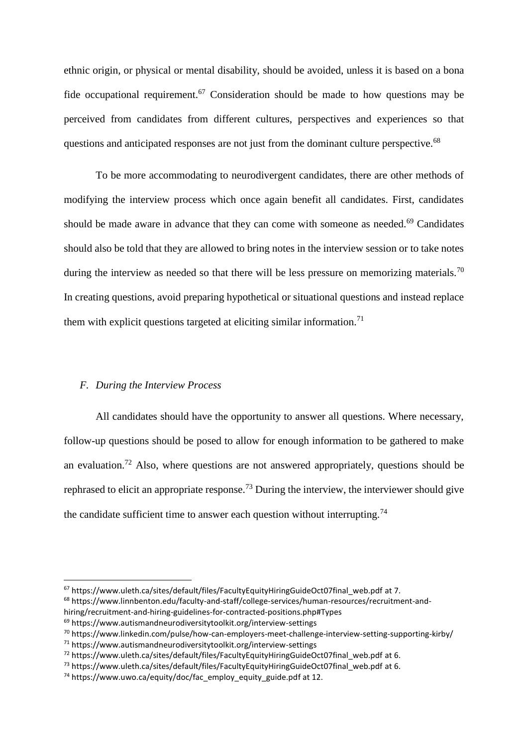ethnic origin, or physical or mental disability, should be avoided, unless it is based on a bona fide occupational requirement.<sup>67</sup> Consideration should be made to how questions may be perceived from candidates from different cultures, perspectives and experiences so that questions and anticipated responses are not just from the dominant culture perspective.<sup>68</sup>

To be more accommodating to neurodivergent candidates, there are other methods of modifying the interview process which once again benefit all candidates. First, candidates should be made aware in advance that they can come with someone as needed.<sup>69</sup> Candidates should also be told that they are allowed to bring notes in the interview session or to take notes during the interview as needed so that there will be less pressure on memorizing materials.<sup>70</sup> In creating questions, avoid preparing hypothetical or situational questions and instead replace them with explicit questions targeted at eliciting similar information.<sup>71</sup>

#### *F. During the Interview Process*

 $\overline{a}$ 

All candidates should have the opportunity to answer all questions. Where necessary, follow-up questions should be posed to allow for enough information to be gathered to make an evaluation.<sup>72</sup> Also, where questions are not answered appropriately, questions should be rephrased to elicit an appropriate response.<sup>73</sup> During the interview, the interviewer should give the candidate sufficient time to answer each question without interrupting.<sup>74</sup>

<sup>&</sup>lt;sup>67</sup> [https://www.uleth.ca/sites/default/files/FacultyEquityHiringGuideOct07final\\_web.pdf](https://www.uleth.ca/sites/default/files/FacultyEquityHiringGuideOct07final_web.pdf) at 7.

<sup>68</sup> [https://www.linnbenton.edu/faculty-and-staff/college-services/human-resources/recruitment-and](https://www.linnbenton.edu/faculty-and-staff/college-services/human-resources/recruitment-and-hiring/recruitment-and-hiring-guidelines-for-contracted-positions.php#Types)[hiring/recruitment-and-hiring-guidelines-for-contracted-positions.php#Types](https://www.linnbenton.edu/faculty-and-staff/college-services/human-resources/recruitment-and-hiring/recruitment-and-hiring-guidelines-for-contracted-positions.php#Types)

<sup>69</sup> <https://www.autismandneurodiversitytoolkit.org/interview-settings>

<sup>70</sup> <https://www.linkedin.com/pulse/how-can-employers-meet-challenge-interview-setting-supporting-kirby/>

 $71$  <https://www.autismandneurodiversitytoolkit.org/interview-settings>

<sup>72</sup> [https://www.uleth.ca/sites/default/files/FacultyEquityHiringGuideOct07final\\_web.pdf](https://www.uleth.ca/sites/default/files/FacultyEquityHiringGuideOct07final_web.pdf) at 6.

<sup>&</sup>lt;sup>73</sup> [https://www.uleth.ca/sites/default/files/FacultyEquityHiringGuideOct07final\\_web.pdf](https://www.uleth.ca/sites/default/files/FacultyEquityHiringGuideOct07final_web.pdf) at 6.

 $74$  [https://www.uwo.ca/equity/doc/fac\\_employ\\_equity\\_guide.pdf](https://www.uwo.ca/equity/doc/fac_employ_equity_guide.pdf) at 12.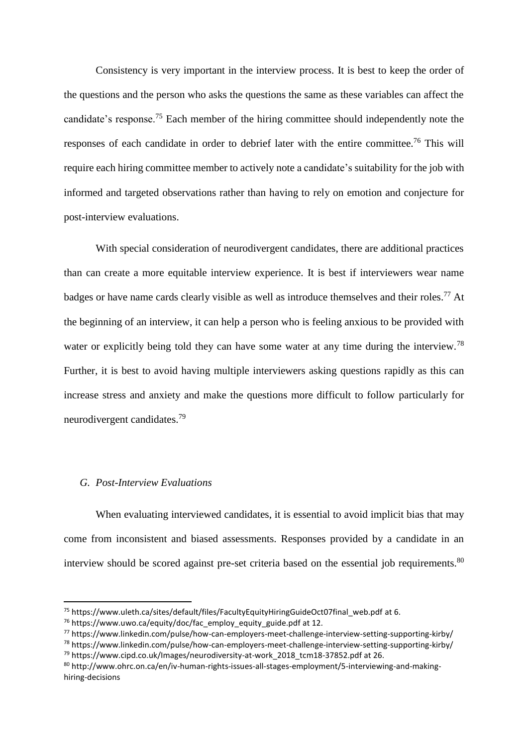Consistency is very important in the interview process. It is best to keep the order of the questions and the person who asks the questions the same as these variables can affect the candidate's response.<sup>75</sup> Each member of the hiring committee should independently note the responses of each candidate in order to debrief later with the entire committee.<sup>76</sup> This will require each hiring committee member to actively note a candidate's suitability for the job with informed and targeted observations rather than having to rely on emotion and conjecture for post-interview evaluations.

With special consideration of neurodivergent candidates, there are additional practices than can create a more equitable interview experience. It is best if interviewers wear name badges or have name cards clearly visible as well as introduce themselves and their roles.<sup>77</sup> At the beginning of an interview, it can help a person who is feeling anxious to be provided with water or explicitly being told they can have some water at any time during the interview.<sup>78</sup> Further, it is best to avoid having multiple interviewers asking questions rapidly as this can increase stress and anxiety and make the questions more difficult to follow particularly for neurodivergent candidates. 79

# *G. Post-Interview Evaluations*

**.** 

When evaluating interviewed candidates, it is essential to avoid implicit bias that may come from inconsistent and biased assessments. Responses provided by a candidate in an interview should be scored against pre-set criteria based on the essential job requirements.<sup>80</sup>

<sup>&</sup>lt;sup>75</sup> [https://www.uleth.ca/sites/default/files/FacultyEquityHiringGuideOct07final\\_web.pdf](https://www.uleth.ca/sites/default/files/FacultyEquityHiringGuideOct07final_web.pdf) at 6.

<sup>&</sup>lt;sup>76</sup> [https://www.uwo.ca/equity/doc/fac\\_employ\\_equity\\_guide.pdf](https://www.uwo.ca/equity/doc/fac_employ_equity_guide.pdf) at 12.

<sup>77</sup> <https://www.linkedin.com/pulse/how-can-employers-meet-challenge-interview-setting-supporting-kirby/>

<sup>78</sup> <https://www.linkedin.com/pulse/how-can-employers-meet-challenge-interview-setting-supporting-kirby/> <sup>79</sup> [https://www.cipd.co.uk/Images/neurodiversity-at-work\\_2018\\_tcm18-37852.pdf](https://www.cipd.co.uk/Images/neurodiversity-at-work_2018_tcm18-37852.pdf) at 26.

<sup>80</sup> [http://www.ohrc.on.ca/en/iv-human-rights-issues-all-stages-employment/5-interviewing-and-making](http://www.ohrc.on.ca/en/iv-human-rights-issues-all-stages-employment/5-interviewing-and-making-hiring-decisions)[hiring-decisions](http://www.ohrc.on.ca/en/iv-human-rights-issues-all-stages-employment/5-interviewing-and-making-hiring-decisions)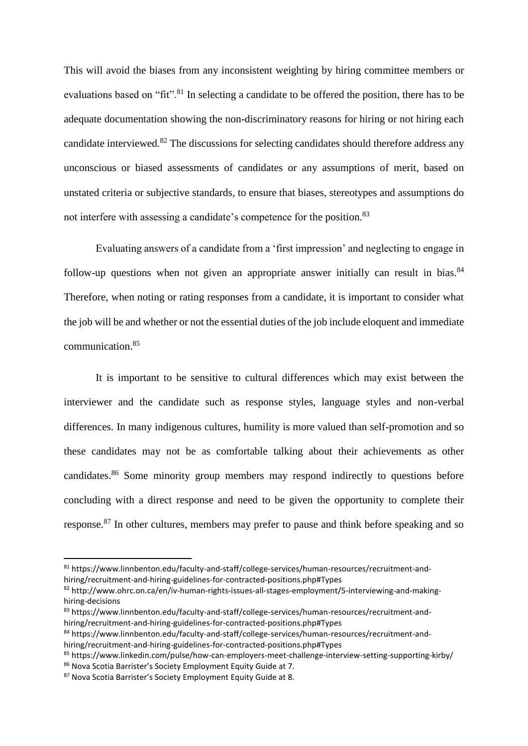This will avoid the biases from any inconsistent weighting by hiring committee members or evaluations based on "fit".<sup>81</sup> In selecting a candidate to be offered the position, there has to be adequate documentation showing the non-discriminatory reasons for hiring or not hiring each candidate interviewed.<sup>82</sup> The discussions for selecting candidates should therefore address any unconscious or biased assessments of candidates or any assumptions of merit, based on unstated criteria or subjective standards, to ensure that biases, stereotypes and assumptions do not interfere with assessing a candidate's competence for the position.<sup>83</sup>

Evaluating answers of a candidate from a 'first impression' and neglecting to engage in follow-up questions when not given an appropriate answer initially can result in bias. $84$ Therefore, when noting or rating responses from a candidate, it is important to consider what the job will be and whether or not the essential duties of the job include eloquent and immediate communication.<sup>85</sup>

It is important to be sensitive to cultural differences which may exist between the interviewer and the candidate such as response styles, language styles and non-verbal differences. In many indigenous cultures, humility is more valued than self-promotion and so these candidates may not be as comfortable talking about their achievements as other candidates.<sup>86</sup> Some minority group members may respond indirectly to questions before concluding with a direct response and need to be given the opportunity to complete their response.<sup>87</sup> In other cultures, members may prefer to pause and think before speaking and so

 $\overline{a}$ 

<sup>81</sup> [https://www.linnbenton.edu/faculty-and-staff/college-services/human-resources/recruitment-and](https://www.linnbenton.edu/faculty-and-staff/college-services/human-resources/recruitment-and-hiring/recruitment-and-hiring-guidelines-for-contracted-positions.php#Types)[hiring/recruitment-and-hiring-guidelines-for-contracted-positions.php#Types](https://www.linnbenton.edu/faculty-and-staff/college-services/human-resources/recruitment-and-hiring/recruitment-and-hiring-guidelines-for-contracted-positions.php#Types)

<sup>82</sup> [http://www.ohrc.on.ca/en/iv-human-rights-issues-all-stages-employment/5-interviewing-and-making](http://www.ohrc.on.ca/en/iv-human-rights-issues-all-stages-employment/5-interviewing-and-making-hiring-decisions)[hiring-decisions](http://www.ohrc.on.ca/en/iv-human-rights-issues-all-stages-employment/5-interviewing-and-making-hiring-decisions)

<sup>83</sup> [https://www.linnbenton.edu/faculty-and-staff/college-services/human-resources/recruitment-and](https://www.linnbenton.edu/faculty-and-staff/college-services/human-resources/recruitment-and-hiring/recruitment-and-hiring-guidelines-for-contracted-positions.php#Types)[hiring/recruitment-and-hiring-guidelines-for-contracted-positions.php#Types](https://www.linnbenton.edu/faculty-and-staff/college-services/human-resources/recruitment-and-hiring/recruitment-and-hiring-guidelines-for-contracted-positions.php#Types)

<sup>84</sup> [https://www.linnbenton.edu/faculty-and-staff/college-services/human-resources/recruitment-and](https://www.linnbenton.edu/faculty-and-staff/college-services/human-resources/recruitment-and-hiring/recruitment-and-hiring-guidelines-for-contracted-positions.php#Types)[hiring/recruitment-and-hiring-guidelines-for-contracted-positions.php#Types](https://www.linnbenton.edu/faculty-and-staff/college-services/human-resources/recruitment-and-hiring/recruitment-and-hiring-guidelines-for-contracted-positions.php#Types)

<sup>85</sup> <https://www.linkedin.com/pulse/how-can-employers-meet-challenge-interview-setting-supporting-kirby/> 86 Nova Scotia Barrister's Society Employment Equity Guide at 7.

<sup>87</sup> Nova Scotia Barrister's Society Employment Equity Guide at 8.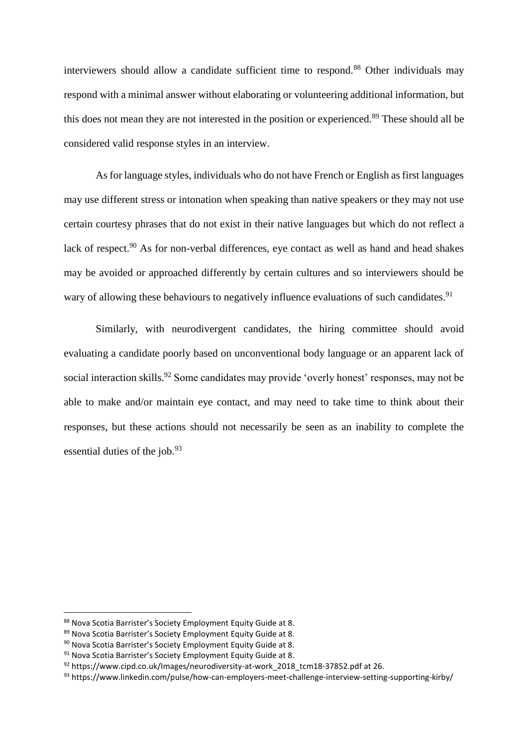interviewers should allow a candidate sufficient time to respond.<sup>88</sup> Other individuals may respond with a minimal answer without elaborating or volunteering additional information, but this does not mean they are not interested in the position or experienced.<sup>89</sup> These should all be considered valid response styles in an interview.

As for language styles, individuals who do not have French or English as first languages may use different stress or intonation when speaking than native speakers or they may not use certain courtesy phrases that do not exist in their native languages but which do not reflect a lack of respect.<sup>90</sup> As for non-verbal differences, eye contact as well as hand and head shakes may be avoided or approached differently by certain cultures and so interviewers should be wary of allowing these behaviours to negatively influence evaluations of such candidates.<sup>91</sup>

Similarly, with neurodivergent candidates, the hiring committee should avoid evaluating a candidate poorly based on unconventional body language or an apparent lack of social interaction skills.<sup>92</sup> Some candidates may provide 'overly honest' responses, may not be able to make and/or maintain eye contact, and may need to take time to think about their responses, but these actions should not necessarily be seen as an inability to complete the essential duties of the job.<sup>93</sup>

<sup>88</sup> Nova Scotia Barrister's Society Employment Equity Guide at 8.

<sup>89</sup> Nova Scotia Barrister's Society Employment Equity Guide at 8.

<sup>90</sup> Nova Scotia Barrister's Society Employment Equity Guide at 8.

<sup>91</sup> Nova Scotia Barrister's Society Employment Equity Guide at 8.

<sup>92</sup> [https://www.cipd.co.uk/Images/neurodiversity-at-work\\_2018\\_tcm18-37852.pdf](https://www.cipd.co.uk/Images/neurodiversity-at-work_2018_tcm18-37852.pdf) at 26.

<sup>93</sup> <https://www.linkedin.com/pulse/how-can-employers-meet-challenge-interview-setting-supporting-kirby/>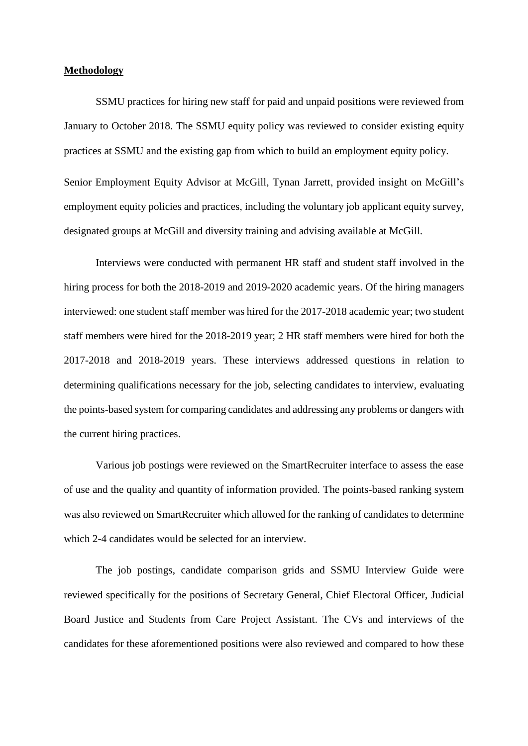#### **Methodology**

SSMU practices for hiring new staff for paid and unpaid positions were reviewed from January to October 2018. The SSMU equity policy was reviewed to consider existing equity practices at SSMU and the existing gap from which to build an employment equity policy. Senior Employment Equity Advisor at McGill, Tynan Jarrett, provided insight on McGill's employment equity policies and practices, including the voluntary job applicant equity survey, designated groups at McGill and diversity training and advising available at McGill.

Interviews were conducted with permanent HR staff and student staff involved in the hiring process for both the 2018-2019 and 2019-2020 academic years. Of the hiring managers interviewed: one student staff member was hired for the 2017-2018 academic year; two student staff members were hired for the 2018-2019 year; 2 HR staff members were hired for both the 2017-2018 and 2018-2019 years. These interviews addressed questions in relation to determining qualifications necessary for the job, selecting candidates to interview, evaluating the points-based system for comparing candidates and addressing any problems or dangers with the current hiring practices.

Various job postings were reviewed on the SmartRecruiter interface to assess the ease of use and the quality and quantity of information provided. The points-based ranking system was also reviewed on SmartRecruiter which allowed for the ranking of candidates to determine which 2-4 candidates would be selected for an interview.

The job postings, candidate comparison grids and SSMU Interview Guide were reviewed specifically for the positions of Secretary General, Chief Electoral Officer, Judicial Board Justice and Students from Care Project Assistant. The CVs and interviews of the candidates for these aforementioned positions were also reviewed and compared to how these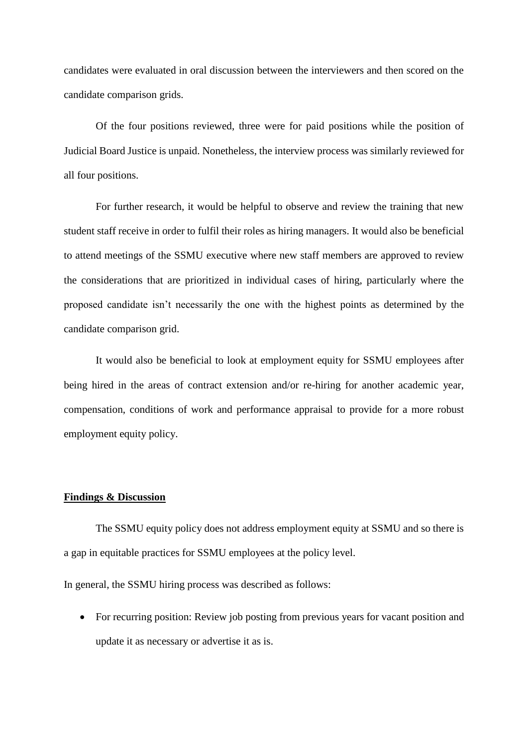candidates were evaluated in oral discussion between the interviewers and then scored on the candidate comparison grids.

Of the four positions reviewed, three were for paid positions while the position of Judicial Board Justice is unpaid. Nonetheless, the interview process was similarly reviewed for all four positions.

For further research, it would be helpful to observe and review the training that new student staff receive in order to fulfil their roles as hiring managers. It would also be beneficial to attend meetings of the SSMU executive where new staff members are approved to review the considerations that are prioritized in individual cases of hiring, particularly where the proposed candidate isn't necessarily the one with the highest points as determined by the candidate comparison grid.

It would also be beneficial to look at employment equity for SSMU employees after being hired in the areas of contract extension and/or re-hiring for another academic year, compensation, conditions of work and performance appraisal to provide for a more robust employment equity policy.

#### **Findings & Discussion**

The SSMU equity policy does not address employment equity at SSMU and so there is a gap in equitable practices for SSMU employees at the policy level.

In general, the SSMU hiring process was described as follows:

• For recurring position: Review job posting from previous years for vacant position and update it as necessary or advertise it as is.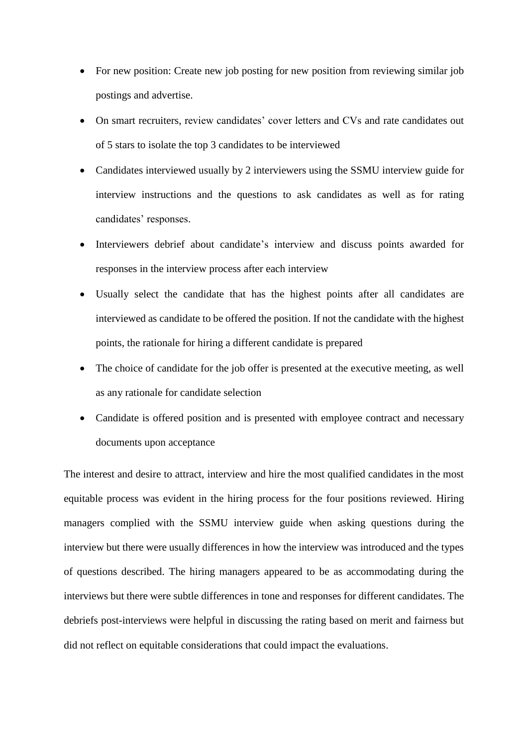- For new position: Create new job posting for new position from reviewing similar job postings and advertise.
- On smart recruiters, review candidates' cover letters and CVs and rate candidates out of 5 stars to isolate the top 3 candidates to be interviewed
- Candidates interviewed usually by 2 interviewers using the SSMU interview guide for interview instructions and the questions to ask candidates as well as for rating candidates' responses.
- Interviewers debrief about candidate's interview and discuss points awarded for responses in the interview process after each interview
- Usually select the candidate that has the highest points after all candidates are interviewed as candidate to be offered the position. If not the candidate with the highest points, the rationale for hiring a different candidate is prepared
- The choice of candidate for the job offer is presented at the executive meeting, as well as any rationale for candidate selection
- Candidate is offered position and is presented with employee contract and necessary documents upon acceptance

The interest and desire to attract, interview and hire the most qualified candidates in the most equitable process was evident in the hiring process for the four positions reviewed. Hiring managers complied with the SSMU interview guide when asking questions during the interview but there were usually differences in how the interview was introduced and the types of questions described. The hiring managers appeared to be as accommodating during the interviews but there were subtle differences in tone and responses for different candidates. The debriefs post-interviews were helpful in discussing the rating based on merit and fairness but did not reflect on equitable considerations that could impact the evaluations.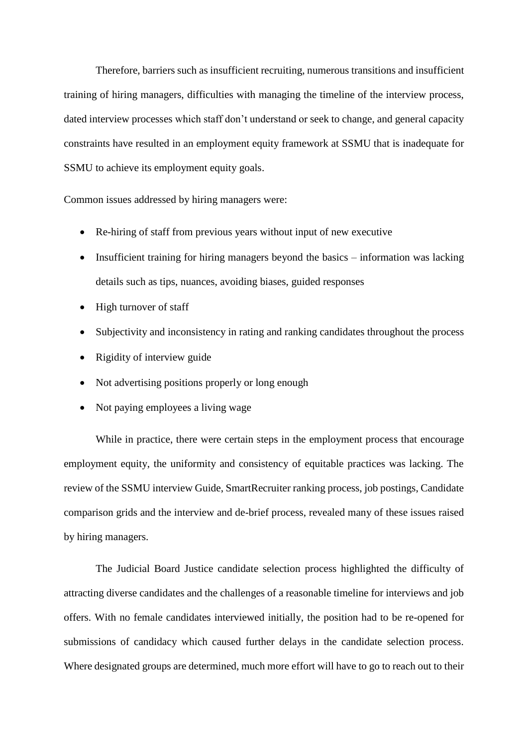Therefore, barriers such as insufficient recruiting, numerous transitions and insufficient training of hiring managers, difficulties with managing the timeline of the interview process, dated interview processes which staff don't understand or seek to change, and general capacity constraints have resulted in an employment equity framework at SSMU that is inadequate for SSMU to achieve its employment equity goals.

Common issues addressed by hiring managers were:

- Re-hiring of staff from previous years without input of new executive
- Insufficient training for hiring managers beyond the basics information was lacking details such as tips, nuances, avoiding biases, guided responses
- High turnover of staff
- Subjectivity and inconsistency in rating and ranking candidates throughout the process
- Rigidity of interview guide
- Not advertising positions properly or long enough
- Not paying employees a living wage

While in practice, there were certain steps in the employment process that encourage employment equity, the uniformity and consistency of equitable practices was lacking. The review of the SSMU interview Guide, SmartRecruiter ranking process, job postings, Candidate comparison grids and the interview and de-brief process, revealed many of these issues raised by hiring managers.

The Judicial Board Justice candidate selection process highlighted the difficulty of attracting diverse candidates and the challenges of a reasonable timeline for interviews and job offers. With no female candidates interviewed initially, the position had to be re-opened for submissions of candidacy which caused further delays in the candidate selection process. Where designated groups are determined, much more effort will have to go to reach out to their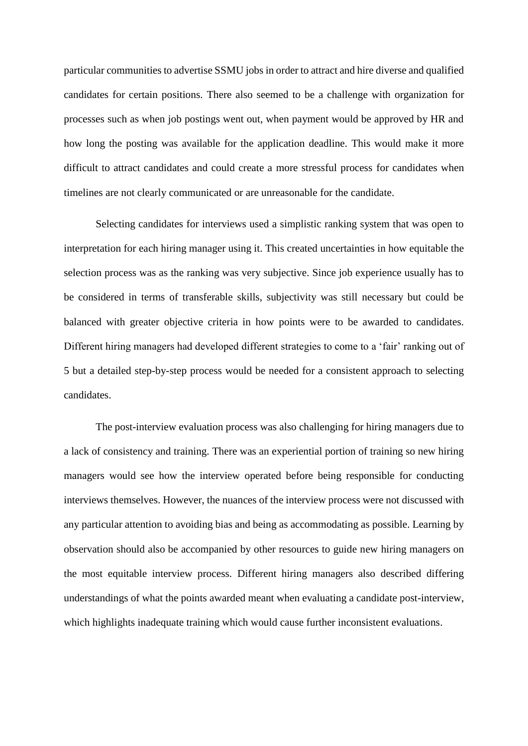particular communities to advertise SSMU jobs in order to attract and hire diverse and qualified candidates for certain positions. There also seemed to be a challenge with organization for processes such as when job postings went out, when payment would be approved by HR and how long the posting was available for the application deadline. This would make it more difficult to attract candidates and could create a more stressful process for candidates when timelines are not clearly communicated or are unreasonable for the candidate.

Selecting candidates for interviews used a simplistic ranking system that was open to interpretation for each hiring manager using it. This created uncertainties in how equitable the selection process was as the ranking was very subjective. Since job experience usually has to be considered in terms of transferable skills, subjectivity was still necessary but could be balanced with greater objective criteria in how points were to be awarded to candidates. Different hiring managers had developed different strategies to come to a 'fair' ranking out of 5 but a detailed step-by-step process would be needed for a consistent approach to selecting candidates.

The post-interview evaluation process was also challenging for hiring managers due to a lack of consistency and training. There was an experiential portion of training so new hiring managers would see how the interview operated before being responsible for conducting interviews themselves. However, the nuances of the interview process were not discussed with any particular attention to avoiding bias and being as accommodating as possible. Learning by observation should also be accompanied by other resources to guide new hiring managers on the most equitable interview process. Different hiring managers also described differing understandings of what the points awarded meant when evaluating a candidate post-interview, which highlights inadequate training which would cause further inconsistent evaluations.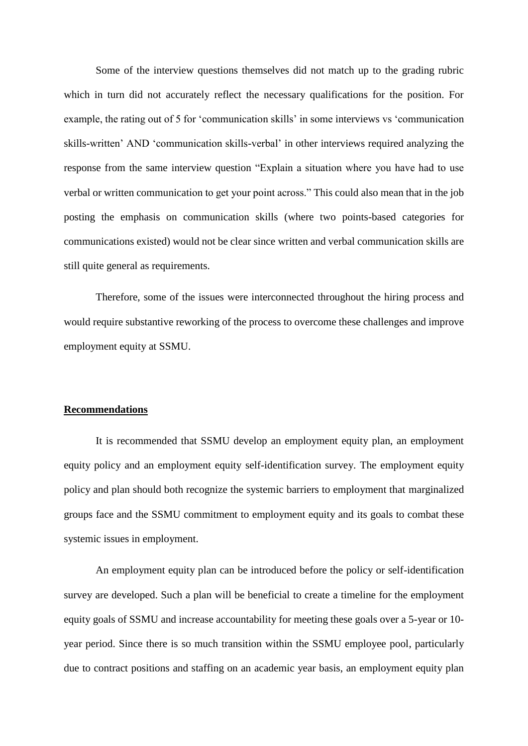Some of the interview questions themselves did not match up to the grading rubric which in turn did not accurately reflect the necessary qualifications for the position. For example, the rating out of 5 for 'communication skills' in some interviews vs 'communication skills-written' AND 'communication skills-verbal' in other interviews required analyzing the response from the same interview question "Explain a situation where you have had to use verbal or written communication to get your point across." This could also mean that in the job posting the emphasis on communication skills (where two points-based categories for communications existed) would not be clear since written and verbal communication skills are still quite general as requirements.

Therefore, some of the issues were interconnected throughout the hiring process and would require substantive reworking of the process to overcome these challenges and improve employment equity at SSMU.

#### **Recommendations**

It is recommended that SSMU develop an employment equity plan, an employment equity policy and an employment equity self-identification survey. The employment equity policy and plan should both recognize the systemic barriers to employment that marginalized groups face and the SSMU commitment to employment equity and its goals to combat these systemic issues in employment.

An employment equity plan can be introduced before the policy or self-identification survey are developed. Such a plan will be beneficial to create a timeline for the employment equity goals of SSMU and increase accountability for meeting these goals over a 5-year or 10 year period. Since there is so much transition within the SSMU employee pool, particularly due to contract positions and staffing on an academic year basis, an employment equity plan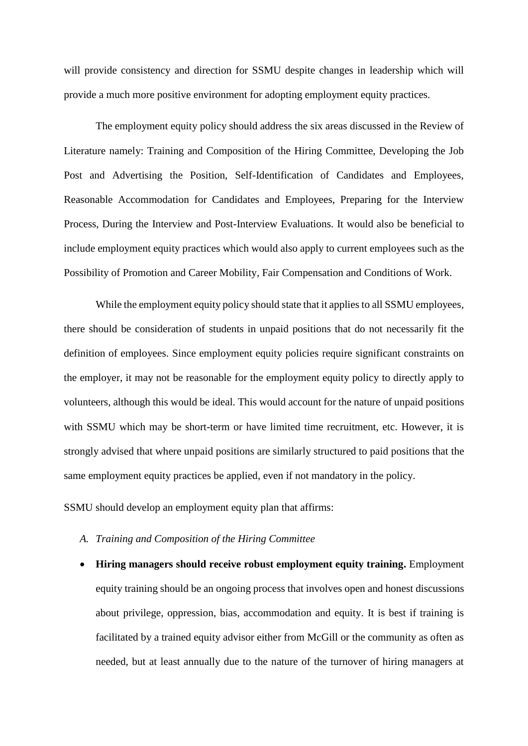will provide consistency and direction for SSMU despite changes in leadership which will provide a much more positive environment for adopting employment equity practices.

The employment equity policy should address the six areas discussed in the Review of Literature namely: Training and Composition of the Hiring Committee, Developing the Job Post and Advertising the Position, Self-Identification of Candidates and Employees, Reasonable Accommodation for Candidates and Employees, Preparing for the Interview Process, During the Interview and Post-Interview Evaluations. It would also be beneficial to include employment equity practices which would also apply to current employees such as the Possibility of Promotion and Career Mobility, Fair Compensation and Conditions of Work.

While the employment equity policy should state that it applies to all SSMU employees, there should be consideration of students in unpaid positions that do not necessarily fit the definition of employees. Since employment equity policies require significant constraints on the employer, it may not be reasonable for the employment equity policy to directly apply to volunteers, although this would be ideal. This would account for the nature of unpaid positions with SSMU which may be short-term or have limited time recruitment, etc. However, it is strongly advised that where unpaid positions are similarly structured to paid positions that the same employment equity practices be applied, even if not mandatory in the policy.

SSMU should develop an employment equity plan that affirms:

- *A. Training and Composition of the Hiring Committee*
- **Hiring managers should receive robust employment equity training.** Employment equity training should be an ongoing process that involves open and honest discussions about privilege, oppression, bias, accommodation and equity. It is best if training is facilitated by a trained equity advisor either from McGill or the community as often as needed, but at least annually due to the nature of the turnover of hiring managers at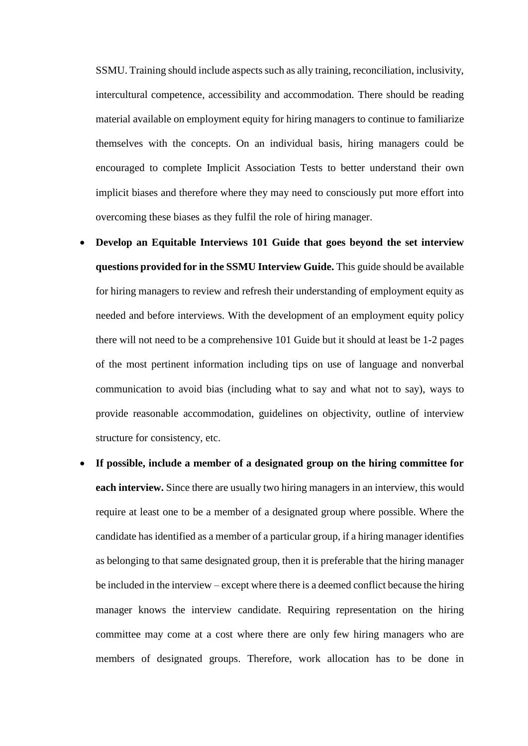SSMU. Training should include aspects such as ally training, reconciliation, inclusivity, intercultural competence, accessibility and accommodation. There should be reading material available on employment equity for hiring managers to continue to familiarize themselves with the concepts. On an individual basis, hiring managers could be encouraged to complete Implicit Association Tests to better understand their own implicit biases and therefore where they may need to consciously put more effort into overcoming these biases as they fulfil the role of hiring manager.

- **Develop an Equitable Interviews 101 Guide that goes beyond the set interview questions provided for in the SSMU Interview Guide.** This guide should be available for hiring managers to review and refresh their understanding of employment equity as needed and before interviews. With the development of an employment equity policy there will not need to be a comprehensive 101 Guide but it should at least be 1-2 pages of the most pertinent information including tips on use of language and nonverbal communication to avoid bias (including what to say and what not to say), ways to provide reasonable accommodation, guidelines on objectivity, outline of interview structure for consistency, etc.
- **If possible, include a member of a designated group on the hiring committee for each interview.** Since there are usually two hiring managers in an interview, this would require at least one to be a member of a designated group where possible. Where the candidate has identified as a member of a particular group, if a hiring manager identifies as belonging to that same designated group, then it is preferable that the hiring manager be included in the interview – except where there is a deemed conflict because the hiring manager knows the interview candidate. Requiring representation on the hiring committee may come at a cost where there are only few hiring managers who are members of designated groups. Therefore, work allocation has to be done in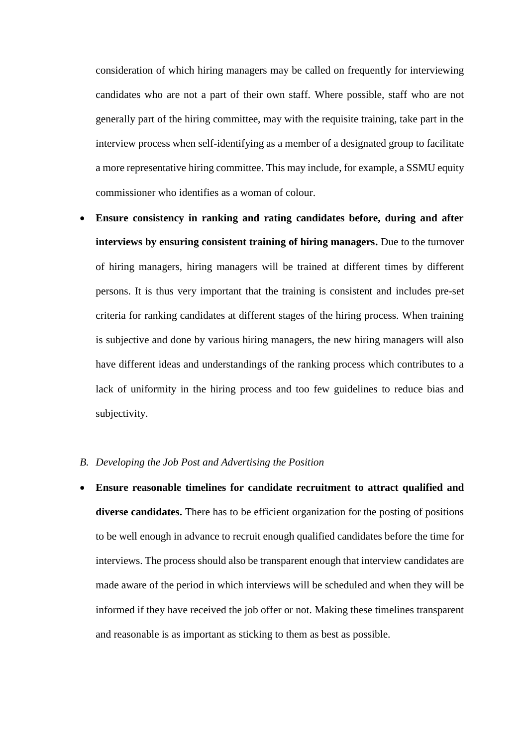consideration of which hiring managers may be called on frequently for interviewing candidates who are not a part of their own staff. Where possible, staff who are not generally part of the hiring committee, may with the requisite training, take part in the interview process when self-identifying as a member of a designated group to facilitate a more representative hiring committee. This may include, for example, a SSMU equity commissioner who identifies as a woman of colour.

• **Ensure consistency in ranking and rating candidates before, during and after interviews by ensuring consistent training of hiring managers.** Due to the turnover of hiring managers, hiring managers will be trained at different times by different persons. It is thus very important that the training is consistent and includes pre-set criteria for ranking candidates at different stages of the hiring process. When training is subjective and done by various hiring managers, the new hiring managers will also have different ideas and understandings of the ranking process which contributes to a lack of uniformity in the hiring process and too few guidelines to reduce bias and subjectivity.

# *B. Developing the Job Post and Advertising the Position*

• **Ensure reasonable timelines for candidate recruitment to attract qualified and diverse candidates.** There has to be efficient organization for the posting of positions to be well enough in advance to recruit enough qualified candidates before the time for interviews. The process should also be transparent enough that interview candidates are made aware of the period in which interviews will be scheduled and when they will be informed if they have received the job offer or not. Making these timelines transparent and reasonable is as important as sticking to them as best as possible.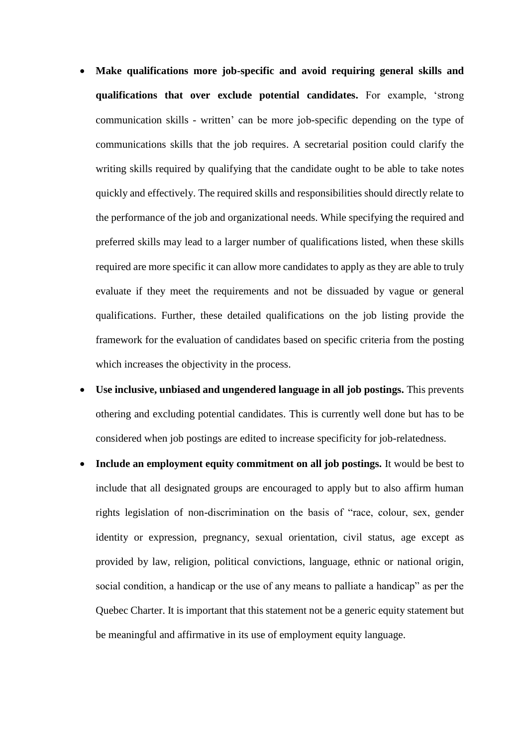- **Make qualifications more job-specific and avoid requiring general skills and qualifications that over exclude potential candidates.** For example, 'strong communication skills - written' can be more job-specific depending on the type of communications skills that the job requires. A secretarial position could clarify the writing skills required by qualifying that the candidate ought to be able to take notes quickly and effectively. The required skills and responsibilities should directly relate to the performance of the job and organizational needs. While specifying the required and preferred skills may lead to a larger number of qualifications listed, when these skills required are more specific it can allow more candidates to apply as they are able to truly evaluate if they meet the requirements and not be dissuaded by vague or general qualifications. Further, these detailed qualifications on the job listing provide the framework for the evaluation of candidates based on specific criteria from the posting which increases the objectivity in the process.
- **Use inclusive, unbiased and ungendered language in all job postings.** This prevents othering and excluding potential candidates. This is currently well done but has to be considered when job postings are edited to increase specificity for job-relatedness.
- **Include an employment equity commitment on all job postings.** It would be best to include that all designated groups are encouraged to apply but to also affirm human rights legislation of non-discrimination on the basis of "race, colour, sex, gender identity or expression, pregnancy, sexual orientation, civil status, age except as provided by law, religion, political convictions, language, ethnic or national origin, social condition, a handicap or the use of any means to palliate a handicap" as per the Quebec Charter. It is important that this statement not be a generic equity statement but be meaningful and affirmative in its use of employment equity language.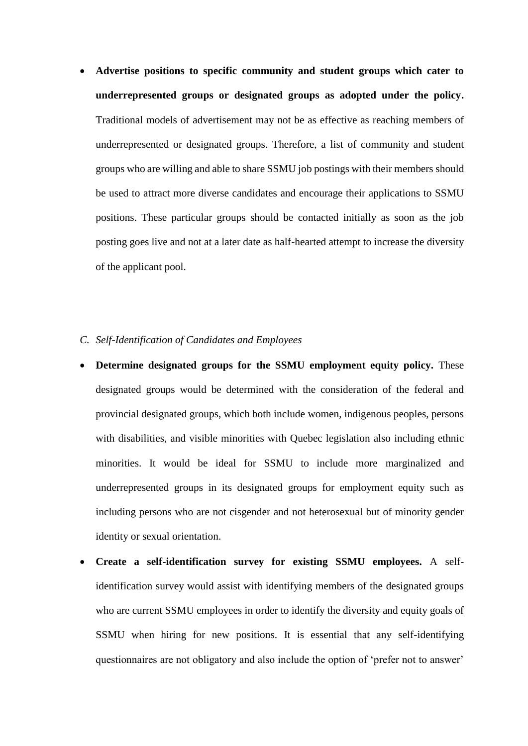• **Advertise positions to specific community and student groups which cater to underrepresented groups or designated groups as adopted under the policy.** Traditional models of advertisement may not be as effective as reaching members of underrepresented or designated groups. Therefore, a list of community and student groups who are willing and able to share SSMU job postings with their members should be used to attract more diverse candidates and encourage their applications to SSMU positions. These particular groups should be contacted initially as soon as the job posting goes live and not at a later date as half-hearted attempt to increase the diversity of the applicant pool.

# *C. Self-Identification of Candidates and Employees*

- **Determine designated groups for the SSMU employment equity policy.** These designated groups would be determined with the consideration of the federal and provincial designated groups, which both include women, indigenous peoples, persons with disabilities, and visible minorities with Quebec legislation also including ethnic minorities. It would be ideal for SSMU to include more marginalized and underrepresented groups in its designated groups for employment equity such as including persons who are not cisgender and not heterosexual but of minority gender identity or sexual orientation.
- **Create a self-identification survey for existing SSMU employees.** A selfidentification survey would assist with identifying members of the designated groups who are current SSMU employees in order to identify the diversity and equity goals of SSMU when hiring for new positions. It is essential that any self-identifying questionnaires are not obligatory and also include the option of 'prefer not to answer'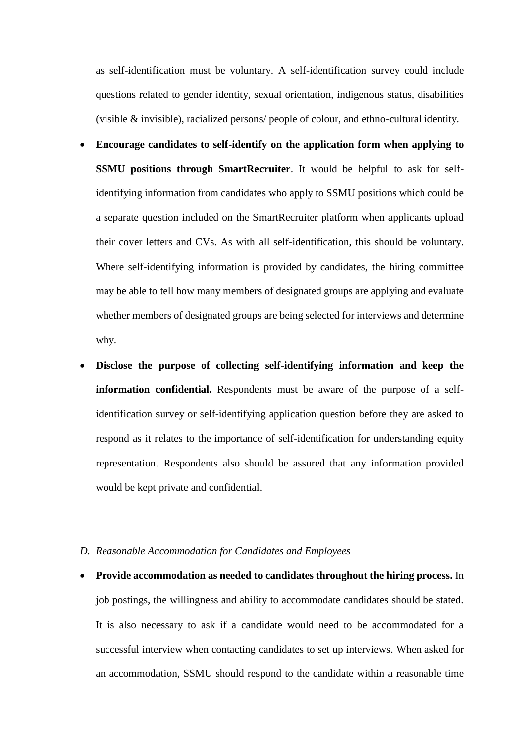as self-identification must be voluntary. A self-identification survey could include questions related to gender identity, sexual orientation, indigenous status, disabilities (visible & invisible), racialized persons/ people of colour, and ethno-cultural identity.

- **Encourage candidates to self-identify on the application form when applying to SSMU positions through SmartRecruiter**. It would be helpful to ask for selfidentifying information from candidates who apply to SSMU positions which could be a separate question included on the SmartRecruiter platform when applicants upload their cover letters and CVs. As with all self-identification, this should be voluntary. Where self-identifying information is provided by candidates, the hiring committee may be able to tell how many members of designated groups are applying and evaluate whether members of designated groups are being selected for interviews and determine why.
- **Disclose the purpose of collecting self-identifying information and keep the information confidential.** Respondents must be aware of the purpose of a selfidentification survey or self-identifying application question before they are asked to respond as it relates to the importance of self-identification for understanding equity representation. Respondents also should be assured that any information provided would be kept private and confidential.

#### *D. Reasonable Accommodation for Candidates and Employees*

• **Provide accommodation as needed to candidates throughout the hiring process.** In job postings, the willingness and ability to accommodate candidates should be stated. It is also necessary to ask if a candidate would need to be accommodated for a successful interview when contacting candidates to set up interviews. When asked for an accommodation, SSMU should respond to the candidate within a reasonable time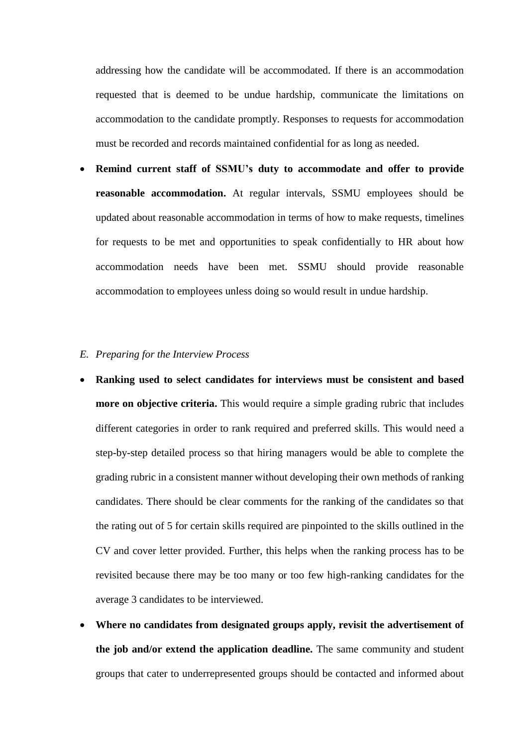addressing how the candidate will be accommodated. If there is an accommodation requested that is deemed to be undue hardship, communicate the limitations on accommodation to the candidate promptly. Responses to requests for accommodation must be recorded and records maintained confidential for as long as needed.

• **Remind current staff of SSMU's duty to accommodate and offer to provide reasonable accommodation.** At regular intervals, SSMU employees should be updated about reasonable accommodation in terms of how to make requests, timelines for requests to be met and opportunities to speak confidentially to HR about how accommodation needs have been met. SSMU should provide reasonable accommodation to employees unless doing so would result in undue hardship.

# *E. Preparing for the Interview Process*

- **Ranking used to select candidates for interviews must be consistent and based more on objective criteria.** This would require a simple grading rubric that includes different categories in order to rank required and preferred skills. This would need a step-by-step detailed process so that hiring managers would be able to complete the grading rubric in a consistent manner without developing their own methods of ranking candidates. There should be clear comments for the ranking of the candidates so that the rating out of 5 for certain skills required are pinpointed to the skills outlined in the CV and cover letter provided. Further, this helps when the ranking process has to be revisited because there may be too many or too few high-ranking candidates for the average 3 candidates to be interviewed.
- **Where no candidates from designated groups apply, revisit the advertisement of the job and/or extend the application deadline.** The same community and student groups that cater to underrepresented groups should be contacted and informed about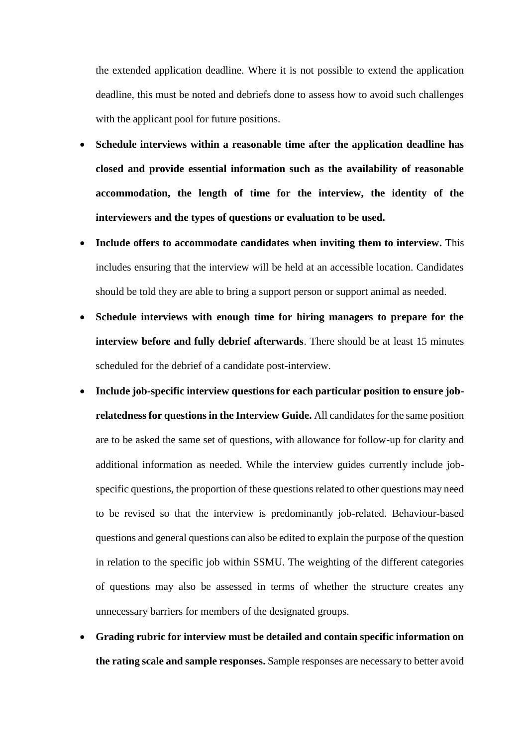the extended application deadline. Where it is not possible to extend the application deadline, this must be noted and debriefs done to assess how to avoid such challenges with the applicant pool for future positions.

- **Schedule interviews within a reasonable time after the application deadline has closed and provide essential information such as the availability of reasonable accommodation, the length of time for the interview, the identity of the interviewers and the types of questions or evaluation to be used.**
- **Include offers to accommodate candidates when inviting them to interview.** This includes ensuring that the interview will be held at an accessible location. Candidates should be told they are able to bring a support person or support animal as needed.
- **Schedule interviews with enough time for hiring managers to prepare for the interview before and fully debrief afterwards**. There should be at least 15 minutes scheduled for the debrief of a candidate post-interview.
- **Include job-specific interview questions for each particular position to ensure jobrelatedness for questions in the Interview Guide.** All candidates for the same position are to be asked the same set of questions, with allowance for follow-up for clarity and additional information as needed. While the interview guides currently include jobspecific questions, the proportion of these questions related to other questions may need to be revised so that the interview is predominantly job-related. Behaviour-based questions and general questions can also be edited to explain the purpose of the question in relation to the specific job within SSMU. The weighting of the different categories of questions may also be assessed in terms of whether the structure creates any unnecessary barriers for members of the designated groups.
- **Grading rubric for interview must be detailed and contain specific information on the rating scale and sample responses.** Sample responses are necessary to better avoid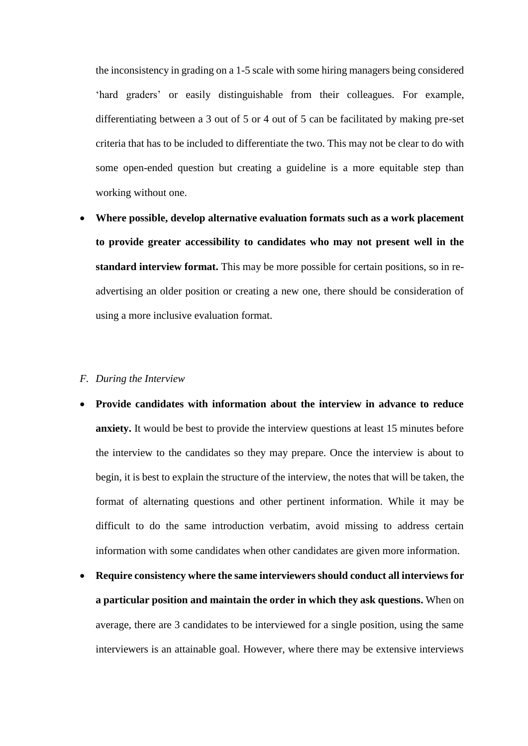the inconsistency in grading on a 1-5 scale with some hiring managers being considered 'hard graders' or easily distinguishable from their colleagues. For example, differentiating between a 3 out of 5 or 4 out of 5 can be facilitated by making pre-set criteria that has to be included to differentiate the two. This may not be clear to do with some open-ended question but creating a guideline is a more equitable step than working without one.

• **Where possible, develop alternative evaluation formats such as a work placement to provide greater accessibility to candidates who may not present well in the standard interview format.** This may be more possible for certain positions, so in readvertising an older position or creating a new one, there should be consideration of using a more inclusive evaluation format.

#### *F. During the Interview*

- **Provide candidates with information about the interview in advance to reduce anxiety.** It would be best to provide the interview questions at least 15 minutes before the interview to the candidates so they may prepare. Once the interview is about to begin, it is best to explain the structure of the interview, the notes that will be taken, the format of alternating questions and other pertinent information. While it may be difficult to do the same introduction verbatim, avoid missing to address certain information with some candidates when other candidates are given more information.
- **Require consistency where the same interviewers should conduct all interviews for a particular position and maintain the order in which they ask questions.** When on average, there are 3 candidates to be interviewed for a single position, using the same interviewers is an attainable goal. However, where there may be extensive interviews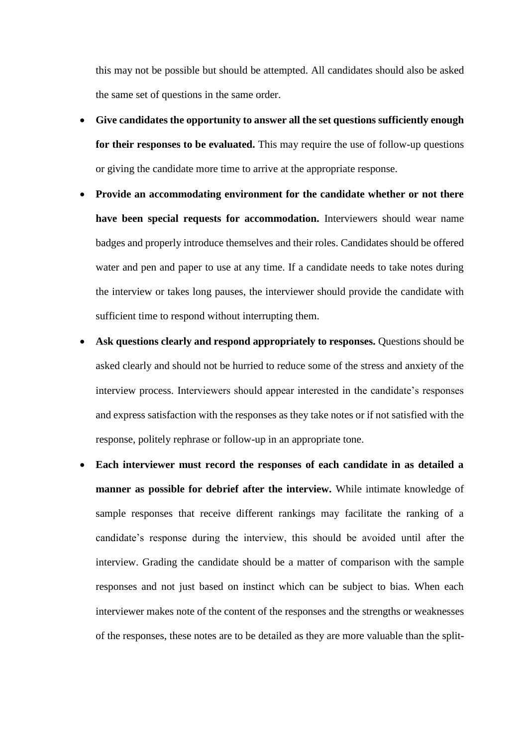this may not be possible but should be attempted. All candidates should also be asked the same set of questions in the same order.

- **Give candidates the opportunity to answer all the set questions sufficiently enough for their responses to be evaluated.** This may require the use of follow-up questions or giving the candidate more time to arrive at the appropriate response.
- **Provide an accommodating environment for the candidate whether or not there have been special requests for accommodation.** Interviewers should wear name badges and properly introduce themselves and their roles. Candidates should be offered water and pen and paper to use at any time. If a candidate needs to take notes during the interview or takes long pauses, the interviewer should provide the candidate with sufficient time to respond without interrupting them.
- **Ask questions clearly and respond appropriately to responses.** Questions should be asked clearly and should not be hurried to reduce some of the stress and anxiety of the interview process. Interviewers should appear interested in the candidate's responses and express satisfaction with the responses as they take notes or if not satisfied with the response, politely rephrase or follow-up in an appropriate tone.
- **Each interviewer must record the responses of each candidate in as detailed a manner as possible for debrief after the interview.** While intimate knowledge of sample responses that receive different rankings may facilitate the ranking of a candidate's response during the interview, this should be avoided until after the interview. Grading the candidate should be a matter of comparison with the sample responses and not just based on instinct which can be subject to bias. When each interviewer makes note of the content of the responses and the strengths or weaknesses of the responses, these notes are to be detailed as they are more valuable than the split-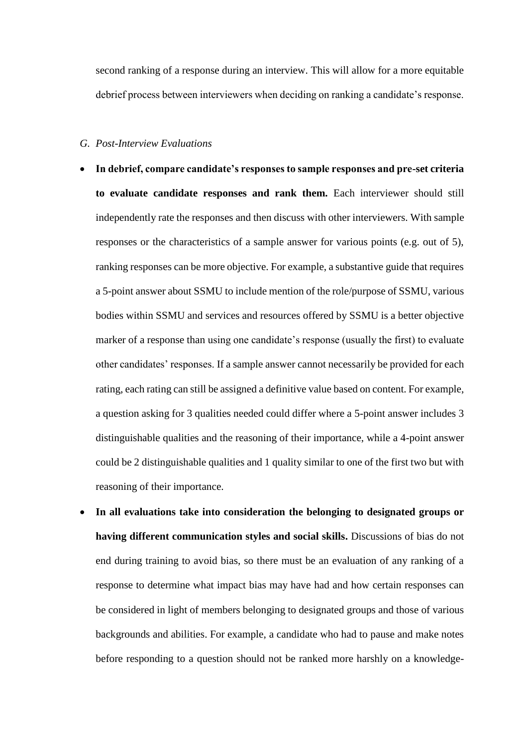second ranking of a response during an interview. This will allow for a more equitable debrief process between interviewers when deciding on ranking a candidate's response.

#### *G. Post-Interview Evaluations*

- **In debrief, compare candidate's responses to sample responses and pre-set criteria to evaluate candidate responses and rank them.** Each interviewer should still independently rate the responses and then discuss with other interviewers. With sample responses or the characteristics of a sample answer for various points (e.g. out of 5), ranking responses can be more objective. For example, a substantive guide that requires a 5-point answer about SSMU to include mention of the role/purpose of SSMU, various bodies within SSMU and services and resources offered by SSMU is a better objective marker of a response than using one candidate's response (usually the first) to evaluate other candidates' responses. If a sample answer cannot necessarily be provided for each rating, each rating can still be assigned a definitive value based on content. For example, a question asking for 3 qualities needed could differ where a 5-point answer includes 3 distinguishable qualities and the reasoning of their importance, while a 4-point answer could be 2 distinguishable qualities and 1 quality similar to one of the first two but with reasoning of their importance.
- **In all evaluations take into consideration the belonging to designated groups or having different communication styles and social skills.** Discussions of bias do not end during training to avoid bias, so there must be an evaluation of any ranking of a response to determine what impact bias may have had and how certain responses can be considered in light of members belonging to designated groups and those of various backgrounds and abilities. For example, a candidate who had to pause and make notes before responding to a question should not be ranked more harshly on a knowledge-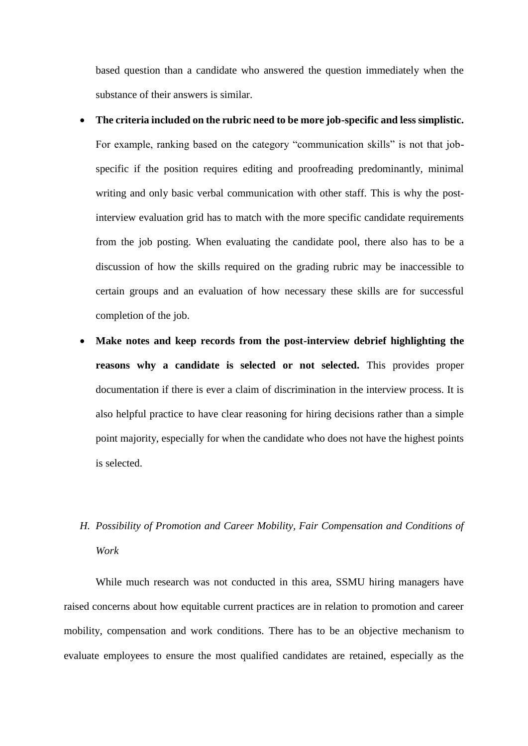based question than a candidate who answered the question immediately when the substance of their answers is similar.

- **The criteria included on the rubric need to be more job-specific and less simplistic.**  For example, ranking based on the category "communication skills" is not that jobspecific if the position requires editing and proofreading predominantly, minimal writing and only basic verbal communication with other staff. This is why the postinterview evaluation grid has to match with the more specific candidate requirements from the job posting. When evaluating the candidate pool, there also has to be a discussion of how the skills required on the grading rubric may be inaccessible to certain groups and an evaluation of how necessary these skills are for successful completion of the job.
- **Make notes and keep records from the post-interview debrief highlighting the reasons why a candidate is selected or not selected.** This provides proper documentation if there is ever a claim of discrimination in the interview process. It is also helpful practice to have clear reasoning for hiring decisions rather than a simple point majority, especially for when the candidate who does not have the highest points is selected.

# *H. Possibility of Promotion and Career Mobility, Fair Compensation and Conditions of Work*

While much research was not conducted in this area, SSMU hiring managers have raised concerns about how equitable current practices are in relation to promotion and career mobility, compensation and work conditions. There has to be an objective mechanism to evaluate employees to ensure the most qualified candidates are retained, especially as the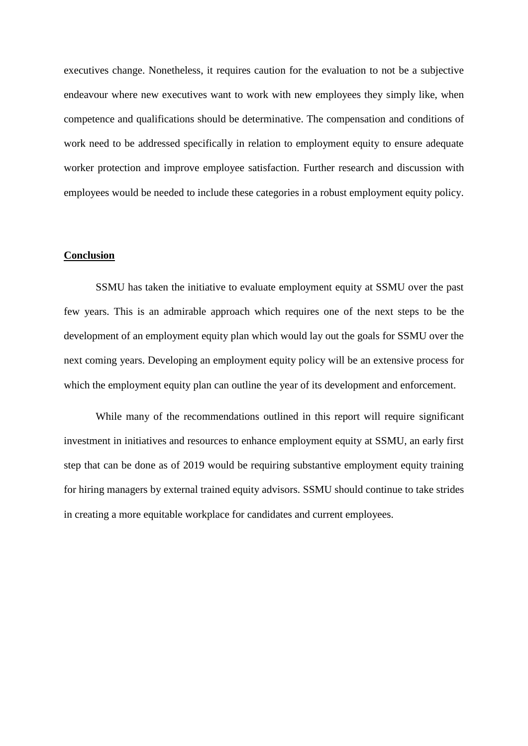executives change. Nonetheless, it requires caution for the evaluation to not be a subjective endeavour where new executives want to work with new employees they simply like, when competence and qualifications should be determinative. The compensation and conditions of work need to be addressed specifically in relation to employment equity to ensure adequate worker protection and improve employee satisfaction. Further research and discussion with employees would be needed to include these categories in a robust employment equity policy.

#### **Conclusion**

SSMU has taken the initiative to evaluate employment equity at SSMU over the past few years. This is an admirable approach which requires one of the next steps to be the development of an employment equity plan which would lay out the goals for SSMU over the next coming years. Developing an employment equity policy will be an extensive process for which the employment equity plan can outline the year of its development and enforcement.

While many of the recommendations outlined in this report will require significant investment in initiatives and resources to enhance employment equity at SSMU, an early first step that can be done as of 2019 would be requiring substantive employment equity training for hiring managers by external trained equity advisors. SSMU should continue to take strides in creating a more equitable workplace for candidates and current employees.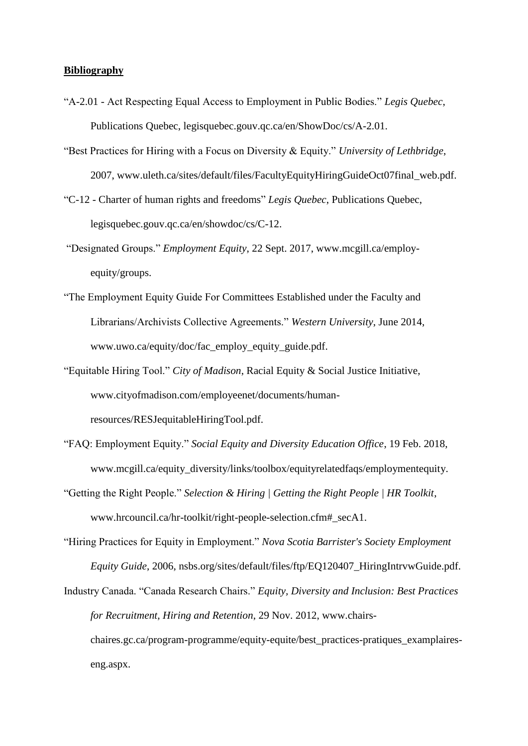#### **Bibliography**

- "A-2.01 Act Respecting Equal Access to Employment in Public Bodies." *Legis Quebec*, Publications Quebec, legisquebec.gouv.qc.ca/en/ShowDoc/cs/A-2.01.
- "Best Practices for Hiring with a Focus on Diversity & Equity." *University of Lethbridge*, 2007, www.uleth.ca/sites/default/files/FacultyEquityHiringGuideOct07final\_web.pdf.
- "C-12 Charter of human rights and freedoms" *Legis Quebec*, Publications Quebec, legisquebec.gouv.qc.ca/en/showdoc/cs/C-12.
- "Designated Groups." *Employment Equity*, 22 Sept. 2017, www.mcgill.ca/employequity/groups.
- "The Employment Equity Guide For Committees Established under the Faculty and Librarians/Archivists Collective Agreements." *Western University*, June 2014, www.uwo.ca/equity/doc/fac\_employ\_equity\_guide.pdf.
- "Equitable Hiring Tool." *City of Madison*, Racial Equity & Social Justice Initiative, www.cityofmadison.com/employeenet/documents/humanresources/RESJequitableHiringTool.pdf.
- "FAQ: Employment Equity." *Social Equity and Diversity Education Office*, 19 Feb. 2018, www.mcgill.ca/equity\_diversity/links/toolbox/equityrelatedfaqs/employmentequity.
- "Getting the Right People." *Selection & Hiring | Getting the Right People | HR Toolkit*, www.hrcouncil.ca/hr-toolkit/right-people-selection.cfm#\_secA1.
- "Hiring Practices for Equity in Employment." *Nova Scotia Barrister's Society Employment Equity Guide*, 2006, nsbs.org/sites/default/files/ftp/EQ120407\_HiringIntrvwGuide.pdf.
- Industry Canada. "Canada Research Chairs." *Equity, Diversity and Inclusion: Best Practices for Recruitment, Hiring and Retention*, 29 Nov. 2012, www.chairschaires.gc.ca/program-programme/equity-equite/best\_practices-pratiques\_examplaireseng.aspx.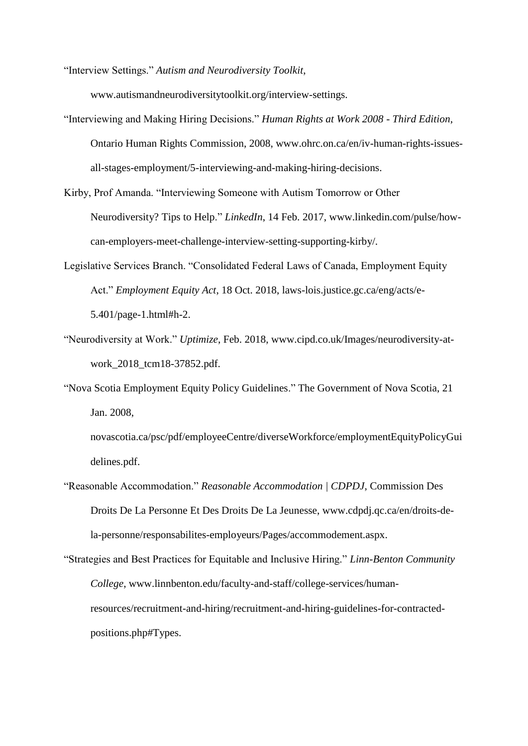"Interview Settings." *Autism and Neurodiversity Toolkit*,

www.autismandneurodiversitytoolkit.org/interview-settings.

- "Interviewing and Making Hiring Decisions." *Human Rights at Work 2008 - Third Edition*, Ontario Human Rights Commission, 2008, www.ohrc.on.ca/en/iv-human-rights-issuesall-stages-employment/5-interviewing-and-making-hiring-decisions.
- Kirby, Prof Amanda. "Interviewing Someone with Autism Tomorrow or Other Neurodiversity? Tips to Help." *LinkedIn*, 14 Feb. 2017, www.linkedin.com/pulse/howcan-employers-meet-challenge-interview-setting-supporting-kirby/.
- Legislative Services Branch. "Consolidated Federal Laws of Canada, Employment Equity Act." *Employment Equity Act*, 18 Oct. 2018, laws-lois.justice.gc.ca/eng/acts/e-5.401/page-1.html#h-2.
- "Neurodiversity at Work." *Uptimize*, Feb. 2018, www.cipd.co.uk/Images/neurodiversity-atwork 2018 tcm18-37852.pdf.
- "Nova Scotia Employment Equity Policy Guidelines." The Government of Nova Scotia, 21 Jan. 2008,

novascotia.ca/psc/pdf/employeeCentre/diverseWorkforce/employmentEquityPolicyGui delines.pdf.

- "Reasonable Accommodation." *Reasonable Accommodation | CDPDJ*, Commission Des Droits De La Personne Et Des Droits De La Jeunesse, www.cdpdj.qc.ca/en/droits-dela-personne/responsabilites-employeurs/Pages/accommodement.aspx.
- "Strategies and Best Practices for Equitable and Inclusive Hiring." *Linn-Benton Community College*, www.linnbenton.edu/faculty-and-staff/college-services/humanresources/recruitment-and-hiring/recruitment-and-hiring-guidelines-for-contractedpositions.php#Types.